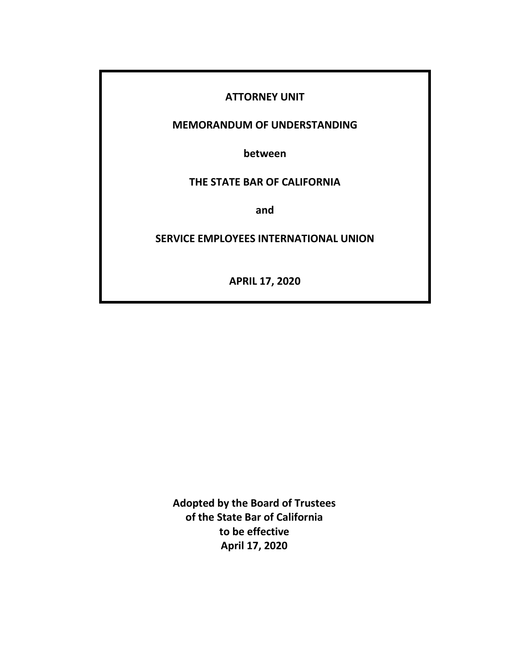### **ATTORNEY UNIT**

### **MEMORANDUM OF UNDERSTANDING**

**between**

## **THE STATE BAR OF CALIFORNIA**

**and**

#### **SERVICE EMPLOYEES INTERNATIONAL UNION**

**APRIL 17, 2020**

**Adopted by the Board of Trustees of the State Bar of California to be effective April 17, 2020**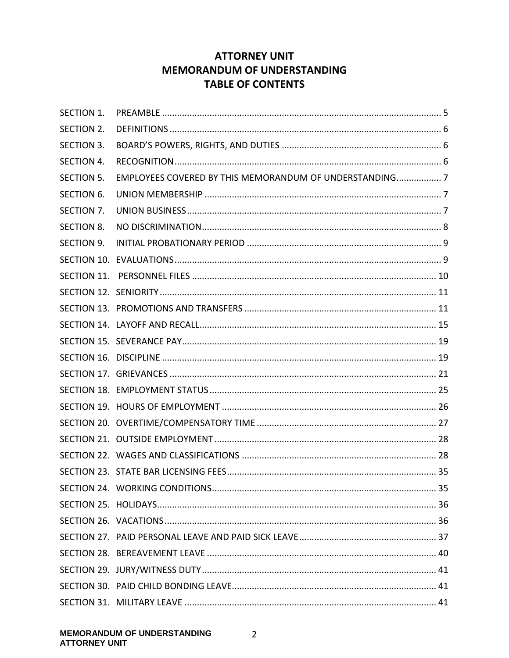# **ATTORNEY UNIT MEMORANDUM OF UNDERSTANDING TABLE OF CONTENTS**

| <b>SECTION 1.</b> |                                                         |  |
|-------------------|---------------------------------------------------------|--|
| SECTION 2.        |                                                         |  |
| SECTION 3.        |                                                         |  |
| SECTION 4.        |                                                         |  |
| <b>SECTION 5.</b> | EMPLOYEES COVERED BY THIS MEMORANDUM OF UNDERSTANDING 7 |  |
| <b>SECTION 6.</b> |                                                         |  |
| SECTION 7.        |                                                         |  |
| <b>SECTION 8.</b> |                                                         |  |
| SECTION 9.        |                                                         |  |
|                   |                                                         |  |
|                   |                                                         |  |
|                   |                                                         |  |
|                   |                                                         |  |
|                   |                                                         |  |
|                   |                                                         |  |
|                   |                                                         |  |
|                   |                                                         |  |
|                   |                                                         |  |
|                   |                                                         |  |
|                   |                                                         |  |
|                   |                                                         |  |
|                   |                                                         |  |
|                   |                                                         |  |
|                   |                                                         |  |
|                   |                                                         |  |
|                   |                                                         |  |
|                   |                                                         |  |
|                   |                                                         |  |
|                   |                                                         |  |
|                   |                                                         |  |
|                   |                                                         |  |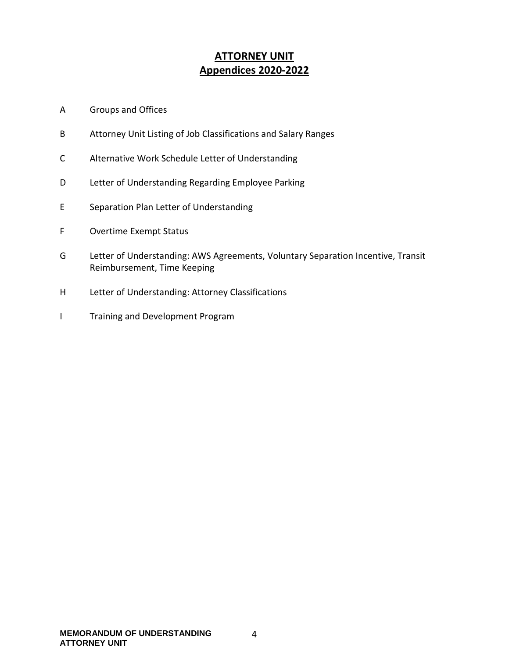# **ATTORNEY UNIT Appendices 2020-2022**

- A Groups and Offices
- B Attorney Unit Listing of Job Classifications and Salary Ranges
- C Alternative Work Schedule Letter of Understanding
- D Letter of Understanding Regarding Employee Parking
- E Separation Plan Letter of Understanding
- F Overtime Exempt Status
- G Letter of Understanding: AWS Agreements, Voluntary Separation Incentive, Transit Reimbursement, Time Keeping
- H Letter of Understanding: Attorney Classifications
- I Training and Development Program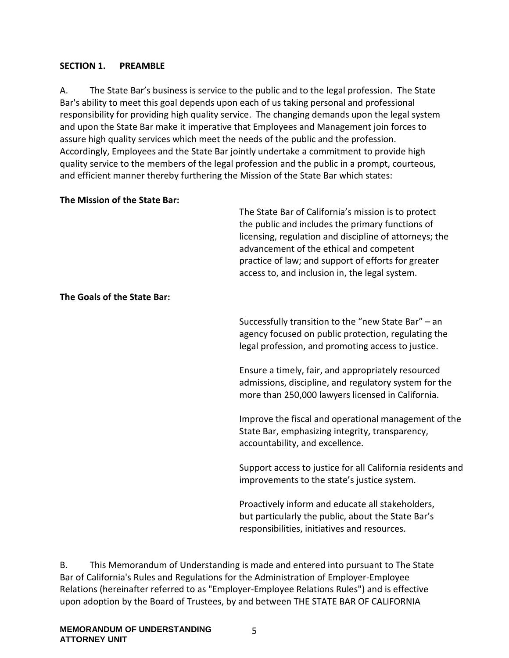#### <span id="page-4-0"></span>**SECTION 1. PREAMBLE**

A. The State Bar's business is service to the public and to the legal profession. The State Bar's ability to meet this goal depends upon each of us taking personal and professional responsibility for providing high quality service. The changing demands upon the legal system and upon the State Bar make it imperative that Employees and Management join forces to assure high quality services which meet the needs of the public and the profession. Accordingly, Employees and the State Bar jointly undertake a commitment to provide high quality service to the members of the legal profession and the public in a prompt, courteous, and efficient manner thereby furthering the Mission of the State Bar which states:

#### **The Mission of the State Bar:**

The State Bar of California's mission is to protect the public and includes the primary functions of licensing, regulation and discipline of attorneys; the advancement of the ethical and competent practice of law; and support of efforts for greater access to, and inclusion in, the legal system.

#### **The Goals of the State Bar:**

Successfully transition to the "new State Bar" – an agency focused on public protection, regulating the legal profession, and promoting access to justice.

Ensure a timely, fair, and appropriately resourced admissions, discipline, and regulatory system for the more than 250,000 lawyers licensed in California.

Improve the fiscal and operational management of the State Bar, emphasizing integrity, transparency, accountability, and excellence.

Support access to justice for all California residents and improvements to the state's justice system.

Proactively inform and educate all stakeholders, but particularly the public, about the State Bar's responsibilities, initiatives and resources.

B. This Memorandum of Understanding is made and entered into pursuant to The State Bar of California's Rules and Regulations for the Administration of Employer-Employee Relations (hereinafter referred to as "Employer-Employee Relations Rules") and is effective upon adoption by the Board of Trustees, by and between THE STATE BAR OF CALIFORNIA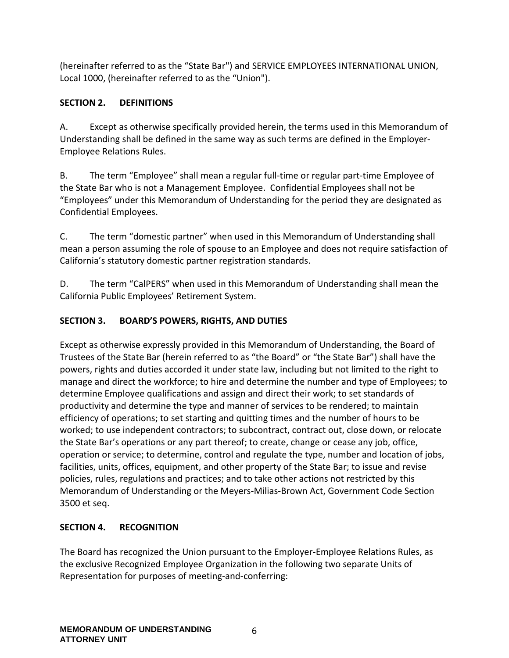(hereinafter referred to as the "State Bar") and SERVICE EMPLOYEES INTERNATIONAL UNION, Local 1000, (hereinafter referred to as the "Union").

## <span id="page-5-0"></span>**SECTION 2. DEFINITIONS**

A. Except as otherwise specifically provided herein, the terms used in this Memorandum of Understanding shall be defined in the same way as such terms are defined in the Employer-Employee Relations Rules.

B. The term "Employee" shall mean a regular full-time or regular part-time Employee of the State Bar who is not a Management Employee. Confidential Employees shall not be "Employees" under this Memorandum of Understanding for the period they are designated as Confidential Employees.

C. The term "domestic partner" when used in this Memorandum of Understanding shall mean a person assuming the role of spouse to an Employee and does not require satisfaction of California's statutory domestic partner registration standards.

D. The term "CalPERS" when used in this Memorandum of Understanding shall mean the California Public Employees' Retirement System.

## <span id="page-5-1"></span>**SECTION 3. BOARD'S POWERS, RIGHTS, AND DUTIES**

Except as otherwise expressly provided in this Memorandum of Understanding, the Board of Trustees of the State Bar (herein referred to as "the Board" or "the State Bar") shall have the powers, rights and duties accorded it under state law, including but not limited to the right to manage and direct the workforce; to hire and determine the number and type of Employees; to determine Employee qualifications and assign and direct their work; to set standards of productivity and determine the type and manner of services to be rendered; to maintain efficiency of operations; to set starting and quitting times and the number of hours to be worked; to use independent contractors; to subcontract, contract out, close down, or relocate the State Bar's operations or any part thereof; to create, change or cease any job, office, operation or service; to determine, control and regulate the type, number and location of jobs, facilities, units, offices, equipment, and other property of the State Bar; to issue and revise policies, rules, regulations and practices; and to take other actions not restricted by this Memorandum of Understanding or the Meyers-Milias-Brown Act, Government Code Section 3500 et seq.

## <span id="page-5-2"></span>**SECTION 4. RECOGNITION**

The Board has recognized the Union pursuant to the Employer-Employee Relations Rules, as the exclusive Recognized Employee Organization in the following two separate Units of Representation for purposes of meeting-and-conferring: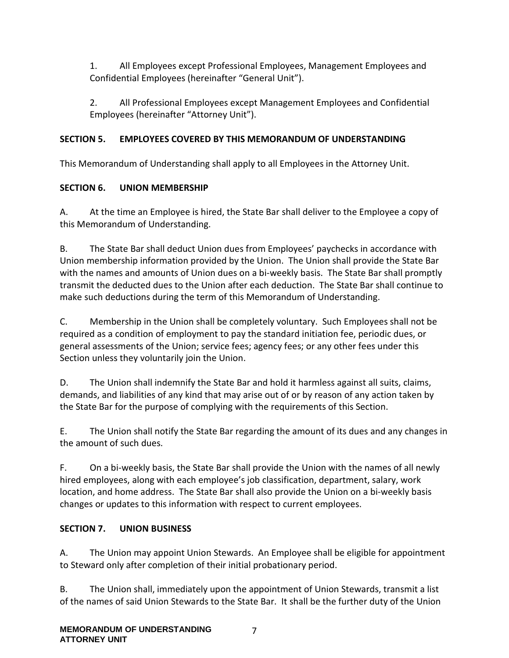1. All Employees except Professional Employees, Management Employees and Confidential Employees (hereinafter "General Unit").

2. All Professional Employees except Management Employees and Confidential Employees (hereinafter "Attorney Unit").

## <span id="page-6-0"></span>**SECTION 5. EMPLOYEES COVERED BY THIS MEMORANDUM OF UNDERSTANDING**

This Memorandum of Understanding shall apply to all Employees in the Attorney Unit.

# <span id="page-6-1"></span>**SECTION 6. UNION MEMBERSHIP**

A. At the time an Employee is hired, the State Bar shall deliver to the Employee a copy of this Memorandum of Understanding.

B. The State Bar shall deduct Union dues from Employees' paychecks in accordance with Union membership information provided by the Union. The Union shall provide the State Bar with the names and amounts of Union dues on a bi-weekly basis. The State Bar shall promptly transmit the deducted dues to the Union after each deduction. The State Bar shall continue to make such deductions during the term of this Memorandum of Understanding.

C. Membership in the Union shall be completely voluntary. Such Employees shall not be required as a condition of employment to pay the standard initiation fee, periodic dues, or general assessments of the Union; service fees; agency fees; or any other fees under this Section unless they voluntarily join the Union.

D. The Union shall indemnify the State Bar and hold it harmless against all suits, claims, demands, and liabilities of any kind that may arise out of or by reason of any action taken by the State Bar for the purpose of complying with the requirements of this Section.

E. The Union shall notify the State Bar regarding the amount of its dues and any changes in the amount of such dues.

F. On a bi-weekly basis, the State Bar shall provide the Union with the names of all newly hired employees, along with each employee's job classification, department, salary, work location, and home address. The State Bar shall also provide the Union on a bi-weekly basis changes or updates to this information with respect to current employees.

## <span id="page-6-2"></span>**SECTION 7. UNION BUSINESS**

A. The Union may appoint Union Stewards. An Employee shall be eligible for appointment to Steward only after completion of their initial probationary period.

B. The Union shall, immediately upon the appointment of Union Stewards, transmit a list of the names of said Union Stewards to the State Bar. It shall be the further duty of the Union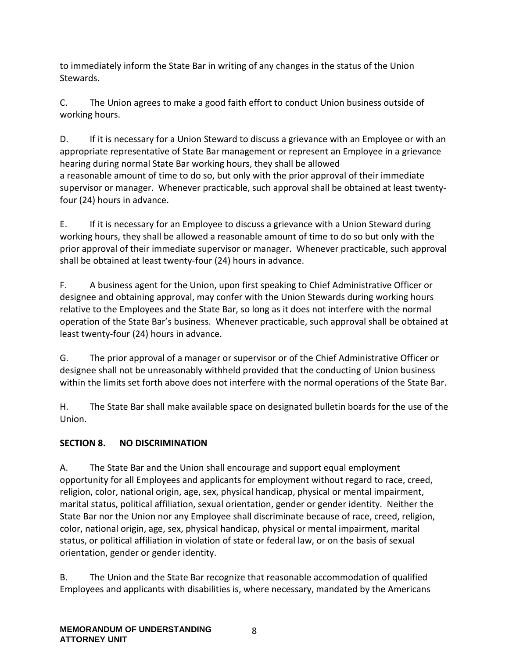to immediately inform the State Bar in writing of any changes in the status of the Union Stewards.

C. The Union agrees to make a good faith effort to conduct Union business outside of working hours.

D. If it is necessary for a Union Steward to discuss a grievance with an Employee or with an appropriate representative of State Bar management or represent an Employee in a grievance hearing during normal State Bar working hours, they shall be allowed a reasonable amount of time to do so, but only with the prior approval of their immediate supervisor or manager. Whenever practicable, such approval shall be obtained at least twentyfour (24) hours in advance.

E. If it is necessary for an Employee to discuss a grievance with a Union Steward during working hours, they shall be allowed a reasonable amount of time to do so but only with the prior approval of their immediate supervisor or manager. Whenever practicable, such approval shall be obtained at least twenty-four (24) hours in advance.

F. A business agent for the Union, upon first speaking to Chief Administrative Officer or designee and obtaining approval, may confer with the Union Stewards during working hours relative to the Employees and the State Bar, so long as it does not interfere with the normal operation of the State Bar's business. Whenever practicable, such approval shall be obtained at least twenty-four (24) hours in advance.

G. The prior approval of a manager or supervisor or of the Chief Administrative Officer or designee shall not be unreasonably withheld provided that the conducting of Union business within the limits set forth above does not interfere with the normal operations of the State Bar.

H. The State Bar shall make available space on designated bulletin boards for the use of the Union.

## <span id="page-7-0"></span>**SECTION 8. NO DISCRIMINATION**

A. The State Bar and the Union shall encourage and support equal employment opportunity for all Employees and applicants for employment without regard to race, creed, religion, color, national origin, age, sex, physical handicap, physical or mental impairment, marital status, political affiliation, sexual orientation, gender or gender identity. Neither the State Bar nor the Union nor any Employee shall discriminate because of race, creed, religion, color, national origin, age, sex, physical handicap, physical or mental impairment, marital status, or political affiliation in violation of state or federal law, or on the basis of sexual orientation, gender or gender identity.

B. The Union and the State Bar recognize that reasonable accommodation of qualified Employees and applicants with disabilities is, where necessary, mandated by the Americans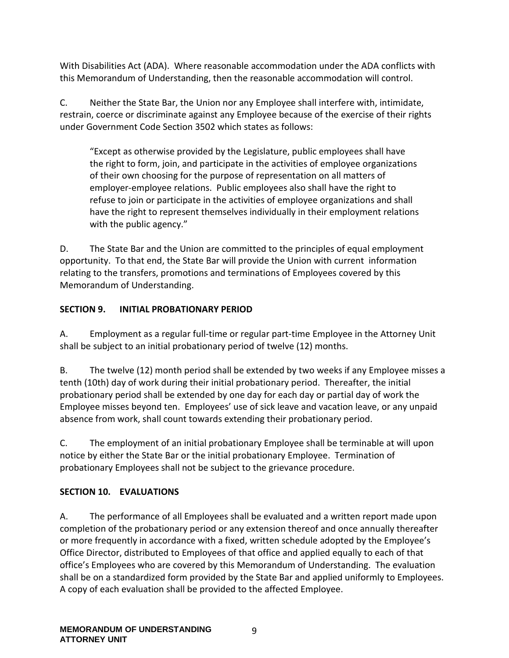With Disabilities Act (ADA). Where reasonable accommodation under the ADA conflicts with this Memorandum of Understanding, then the reasonable accommodation will control.

C. Neither the State Bar, the Union nor any Employee shall interfere with, intimidate, restrain, coerce or discriminate against any Employee because of the exercise of their rights under Government Code Section 3502 which states as follows:

"Except as otherwise provided by the Legislature, public employees shall have the right to form, join, and participate in the activities of employee organizations of their own choosing for the purpose of representation on all matters of employer-employee relations. Public employees also shall have the right to refuse to join or participate in the activities of employee organizations and shall have the right to represent themselves individually in their employment relations with the public agency."

D. The State Bar and the Union are committed to the principles of equal employment opportunity. To that end, the State Bar will provide the Union with current information relating to the transfers, promotions and terminations of Employees covered by this Memorandum of Understanding.

#### <span id="page-8-0"></span>**SECTION 9. INITIAL PROBATIONARY PERIOD**

A. Employment as a regular full-time or regular part-time Employee in the Attorney Unit shall be subject to an initial probationary period of twelve (12) months.

B. The twelve (12) month period shall be extended by two weeks if any Employee misses a tenth (10th) day of work during their initial probationary period. Thereafter, the initial probationary period shall be extended by one day for each day or partial day of work the Employee misses beyond ten. Employees' use of sick leave and vacation leave, or any unpaid absence from work, shall count towards extending their probationary period.

C. The employment of an initial probationary Employee shall be terminable at will upon notice by either the State Bar or the initial probationary Employee. Termination of probationary Employees shall not be subject to the grievance procedure.

## <span id="page-8-1"></span>**SECTION 10. EVALUATIONS**

A. The performance of all Employees shall be evaluated and a written report made upon completion of the probationary period or any extension thereof and once annually thereafter or more frequently in accordance with a fixed, written schedule adopted by the Employee's Office Director, distributed to Employees of that office and applied equally to each of that office's Employees who are covered by this Memorandum of Understanding. The evaluation shall be on a standardized form provided by the State Bar and applied uniformly to Employees. A copy of each evaluation shall be provided to the affected Employee.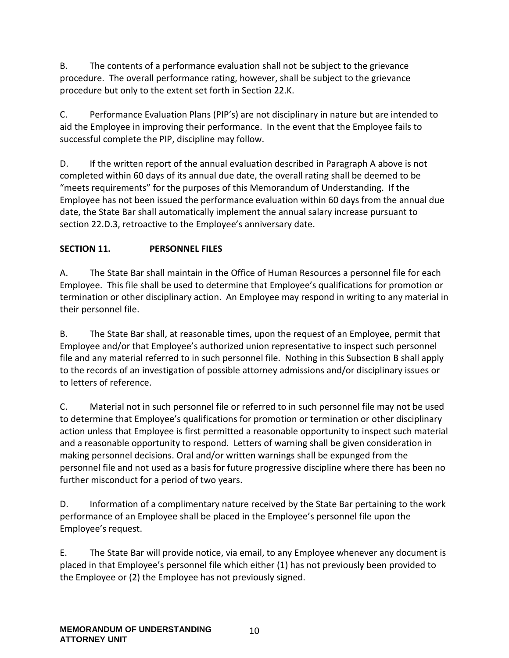B. The contents of a performance evaluation shall not be subject to the grievance procedure. The overall performance rating, however, shall be subject to the grievance procedure but only to the extent set forth in Section 22.K.

C. Performance Evaluation Plans (PIP's) are not disciplinary in nature but are intended to aid the Employee in improving their performance. In the event that the Employee fails to successful complete the PIP, discipline may follow.

D. If the written report of the annual evaluation described in Paragraph A above is not completed within 60 days of its annual due date, the overall rating shall be deemed to be "meets requirements" for the purposes of this Memorandum of Understanding. If the Employee has not been issued the performance evaluation within 60 days from the annual due date, the State Bar shall automatically implement the annual salary increase pursuant to section 22.D.3, retroactive to the Employee's anniversary date.

## <span id="page-9-0"></span>**SECTION 11. PERSONNEL FILES**

A. The State Bar shall maintain in the Office of Human Resources a personnel file for each Employee. This file shall be used to determine that Employee's qualifications for promotion or termination or other disciplinary action. An Employee may respond in writing to any material in their personnel file.

B. The State Bar shall, at reasonable times, upon the request of an Employee, permit that Employee and/or that Employee's authorized union representative to inspect such personnel file and any material referred to in such personnel file. Nothing in this Subsection B shall apply to the records of an investigation of possible attorney admissions and/or disciplinary issues or to letters of reference.

C. Material not in such personnel file or referred to in such personnel file may not be used to determine that Employee's qualifications for promotion or termination or other disciplinary action unless that Employee is first permitted a reasonable opportunity to inspect such material and a reasonable opportunity to respond. Letters of warning shall be given consideration in making personnel decisions. Oral and/or written warnings shall be expunged from the personnel file and not used as a basis for future progressive discipline where there has been no further misconduct for a period of two years.

D. Information of a complimentary nature received by the State Bar pertaining to the work performance of an Employee shall be placed in the Employee's personnel file upon the Employee's request.

E. The State Bar will provide notice, via email, to any Employee whenever any document is placed in that Employee's personnel file which either (1) has not previously been provided to the Employee or (2) the Employee has not previously signed.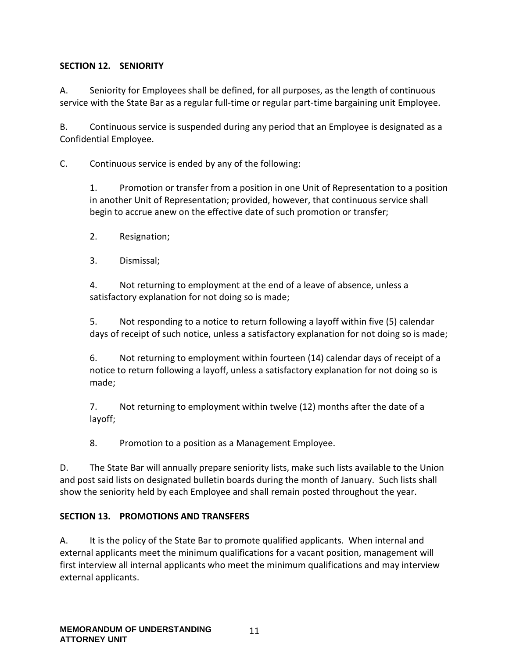#### <span id="page-10-0"></span>**SECTION 12. SENIORITY**

A. Seniority for Employees shall be defined, for all purposes, as the length of continuous service with the State Bar as a regular full-time or regular part-time bargaining unit Employee.

B. Continuous service is suspended during any period that an Employee is designated as a Confidential Employee.

C. Continuous service is ended by any of the following:

1. Promotion or transfer from a position in one Unit of Representation to a position in another Unit of Representation; provided, however, that continuous service shall begin to accrue anew on the effective date of such promotion or transfer;

- 2. Resignation;
- 3. Dismissal;

4. Not returning to employment at the end of a leave of absence, unless a satisfactory explanation for not doing so is made;

5. Not responding to a notice to return following a layoff within five (5) calendar days of receipt of such notice, unless a satisfactory explanation for not doing so is made;

6. Not returning to employment within fourteen (14) calendar days of receipt of a notice to return following a layoff, unless a satisfactory explanation for not doing so is made;

7. Not returning to employment within twelve (12) months after the date of a layoff;

8. Promotion to a position as a Management Employee.

D. The State Bar will annually prepare seniority lists, make such lists available to the Union and post said lists on designated bulletin boards during the month of January. Such lists shall show the seniority held by each Employee and shall remain posted throughout the year.

#### <span id="page-10-1"></span>**SECTION 13. PROMOTIONS AND TRANSFERS**

A. It is the policy of the State Bar to promote qualified applicants. When internal and external applicants meet the minimum qualifications for a vacant position, management will first interview all internal applicants who meet the minimum qualifications and may interview external applicants.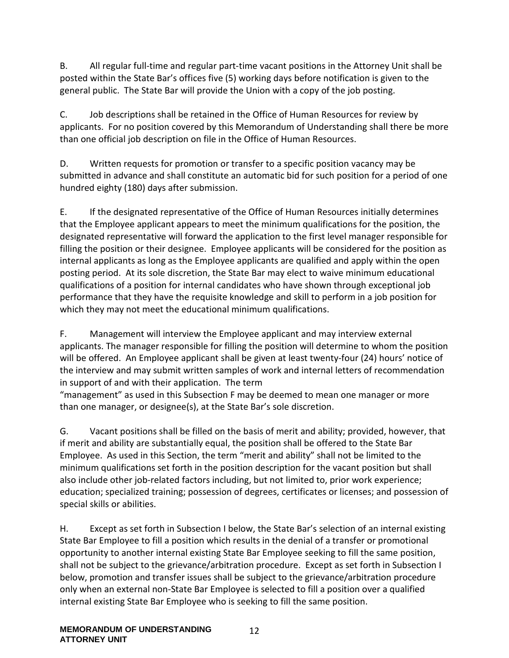B. All regular full-time and regular part-time vacant positions in the Attorney Unit shall be posted within the State Bar's offices five (5) working days before notification is given to the general public. The State Bar will provide the Union with a copy of the job posting.

C. Job descriptions shall be retained in the Office of Human Resources for review by applicants. For no position covered by this Memorandum of Understanding shall there be more than one official job description on file in the Office of Human Resources.

D. Written requests for promotion or transfer to a specific position vacancy may be submitted in advance and shall constitute an automatic bid for such position for a period of one hundred eighty (180) days after submission.

E. If the designated representative of the Office of Human Resources initially determines that the Employee applicant appears to meet the minimum qualifications for the position, the designated representative will forward the application to the first level manager responsible for filling the position or their designee. Employee applicants will be considered for the position as internal applicants as long as the Employee applicants are qualified and apply within the open posting period. At its sole discretion, the State Bar may elect to waive minimum educational qualifications of a position for internal candidates who have shown through exceptional job performance that they have the requisite knowledge and skill to perform in a job position for which they may not meet the educational minimum qualifications.

F. Management will interview the Employee applicant and may interview external applicants. The manager responsible for filling the position will determine to whom the position will be offered. An Employee applicant shall be given at least twenty-four (24) hours' notice of the interview and may submit written samples of work and internal letters of recommendation in support of and with their application. The term

"management" as used in this Subsection F may be deemed to mean one manager or more than one manager, or designee(s), at the State Bar's sole discretion.

G. Vacant positions shall be filled on the basis of merit and ability; provided, however, that if merit and ability are substantially equal, the position shall be offered to the State Bar Employee. As used in this Section, the term "merit and ability" shall not be limited to the minimum qualifications set forth in the position description for the vacant position but shall also include other job-related factors including, but not limited to, prior work experience; education; specialized training; possession of degrees, certificates or licenses; and possession of special skills or abilities.

H. Except as set forth in Subsection I below, the State Bar's selection of an internal existing State Bar Employee to fill a position which results in the denial of a transfer or promotional opportunity to another internal existing State Bar Employee seeking to fill the same position, shall not be subject to the grievance/arbitration procedure. Except as set forth in Subsection I below, promotion and transfer issues shall be subject to the grievance/arbitration procedure only when an external non-State Bar Employee is selected to fill a position over a qualified internal existing State Bar Employee who is seeking to fill the same position.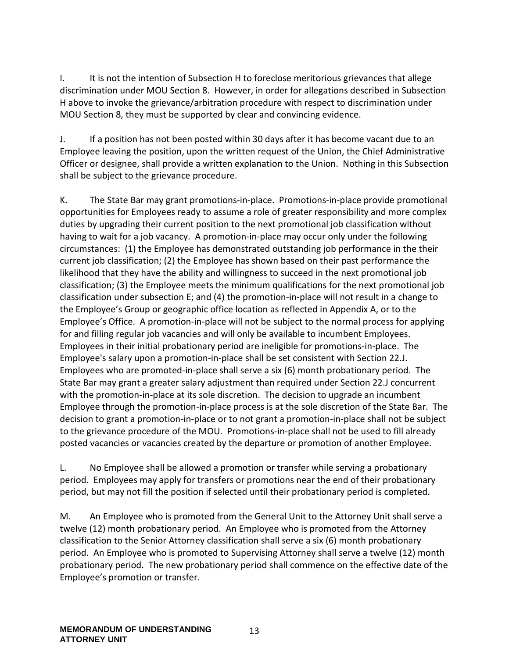I. It is not the intention of Subsection H to foreclose meritorious grievances that allege discrimination under MOU Section 8. However, in order for allegations described in Subsection H above to invoke the grievance/arbitration procedure with respect to discrimination under MOU Section 8, they must be supported by clear and convincing evidence.

J. If a position has not been posted within 30 days after it has become vacant due to an Employee leaving the position, upon the written request of the Union, the Chief Administrative Officer or designee, shall provide a written explanation to the Union. Nothing in this Subsection shall be subject to the grievance procedure.

K. The State Bar may grant promotions-in-place. Promotions-in-place provide promotional opportunities for Employees ready to assume a role of greater responsibility and more complex duties by upgrading their current position to the next promotional job classification without having to wait for a job vacancy. A promotion-in-place may occur only under the following circumstances: (1) the Employee has demonstrated outstanding job performance in the their current job classification; (2) the Employee has shown based on their past performance the likelihood that they have the ability and willingness to succeed in the next promotional job classification; (3) the Employee meets the minimum qualifications for the next promotional job classification under subsection E; and (4) the promotion-in-place will not result in a change to the Employee's Group or geographic office location as reflected in Appendix A, or to the Employee's Office. A promotion-in-place will not be subject to the normal process for applying for and filling regular job vacancies and will only be available to incumbent Employees. Employees in their initial probationary period are ineligible for promotions-in-place. The Employee's salary upon a promotion-in-place shall be set consistent with Section 22.J. Employees who are promoted-in-place shall serve a six (6) month probationary period. The State Bar may grant a greater salary adjustment than required under Section 22.J concurrent with the promotion-in-place at its sole discretion. The decision to upgrade an incumbent Employee through the promotion-in-place process is at the sole discretion of the State Bar. The decision to grant a promotion-in-place or to not grant a promotion-in-place shall not be subject to the grievance procedure of the MOU. Promotions-in-place shall not be used to fill already posted vacancies or vacancies created by the departure or promotion of another Employee.

L. No Employee shall be allowed a promotion or transfer while serving a probationary period. Employees may apply for transfers or promotions near the end of their probationary period, but may not fill the position if selected until their probationary period is completed.

M. An Employee who is promoted from the General Unit to the Attorney Unit shall serve a twelve (12) month probationary period. An Employee who is promoted from the Attorney classification to the Senior Attorney classification shall serve a six (6) month probationary period. An Employee who is promoted to Supervising Attorney shall serve a twelve (12) month probationary period. The new probationary period shall commence on the effective date of the Employee's promotion or transfer.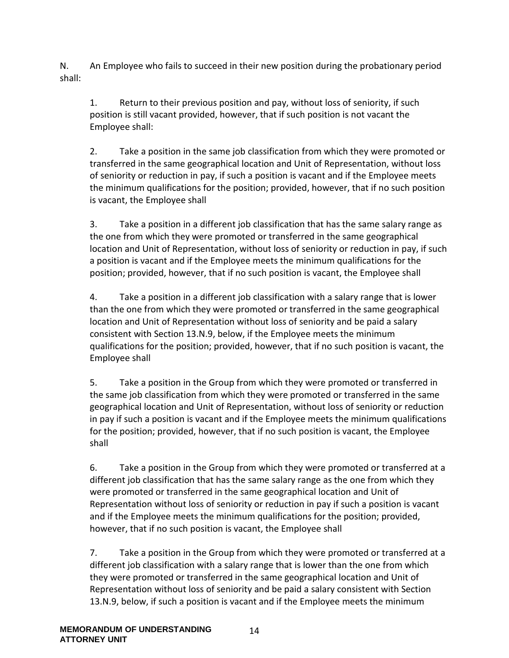N. An Employee who fails to succeed in their new position during the probationary period shall:

1. Return to their previous position and pay, without loss of seniority, if such position is still vacant provided, however, that if such position is not vacant the Employee shall:

2. Take a position in the same job classification from which they were promoted or transferred in the same geographical location and Unit of Representation, without loss of seniority or reduction in pay, if such a position is vacant and if the Employee meets the minimum qualifications for the position; provided, however, that if no such position is vacant, the Employee shall

3. Take a position in a different job classification that has the same salary range as the one from which they were promoted or transferred in the same geographical location and Unit of Representation, without loss of seniority or reduction in pay, if such a position is vacant and if the Employee meets the minimum qualifications for the position; provided, however, that if no such position is vacant, the Employee shall

4. Take a position in a different job classification with a salary range that is lower than the one from which they were promoted or transferred in the same geographical location and Unit of Representation without loss of seniority and be paid a salary consistent with Section 13.N.9, below, if the Employee meets the minimum qualifications for the position; provided, however, that if no such position is vacant, the Employee shall

5. Take a position in the Group from which they were promoted or transferred in the same job classification from which they were promoted or transferred in the same geographical location and Unit of Representation, without loss of seniority or reduction in pay if such a position is vacant and if the Employee meets the minimum qualifications for the position; provided, however, that if no such position is vacant, the Employee shall

6. Take a position in the Group from which they were promoted or transferred at a different job classification that has the same salary range as the one from which they were promoted or transferred in the same geographical location and Unit of Representation without loss of seniority or reduction in pay if such a position is vacant and if the Employee meets the minimum qualifications for the position; provided, however, that if no such position is vacant, the Employee shall

7. Take a position in the Group from which they were promoted or transferred at a different job classification with a salary range that is lower than the one from which they were promoted or transferred in the same geographical location and Unit of Representation without loss of seniority and be paid a salary consistent with Section 13.N.9, below, if such a position is vacant and if the Employee meets the minimum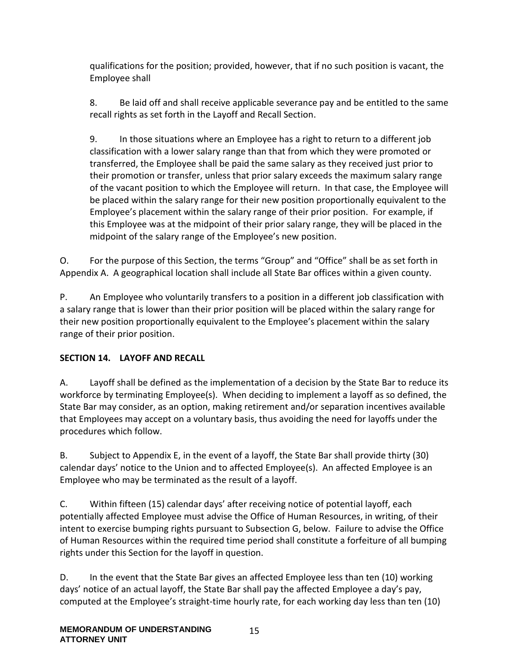qualifications for the position; provided, however, that if no such position is vacant, the Employee shall

8. Be laid off and shall receive applicable severance pay and be entitled to the same recall rights as set forth in the Layoff and Recall Section.

9. In those situations where an Employee has a right to return to a different job classification with a lower salary range than that from which they were promoted or transferred, the Employee shall be paid the same salary as they received just prior to their promotion or transfer, unless that prior salary exceeds the maximum salary range of the vacant position to which the Employee will return. In that case, the Employee will be placed within the salary range for their new position proportionally equivalent to the Employee's placement within the salary range of their prior position. For example, if this Employee was at the midpoint of their prior salary range, they will be placed in the midpoint of the salary range of the Employee's new position.

O. For the purpose of this Section, the terms "Group" and "Office" shall be as set forth in Appendix A. A geographical location shall include all State Bar offices within a given county.

P. An Employee who voluntarily transfers to a position in a different job classification with a salary range that is lower than their prior position will be placed within the salary range for their new position proportionally equivalent to the Employee's placement within the salary range of their prior position.

## <span id="page-14-0"></span>**SECTION 14. LAYOFF AND RECALL**

A. Layoff shall be defined as the implementation of a decision by the State Bar to reduce its workforce by terminating Employee(s). When deciding to implement a layoff as so defined, the State Bar may consider, as an option, making retirement and/or separation incentives available that Employees may accept on a voluntary basis, thus avoiding the need for layoffs under the procedures which follow.

B. Subject to Appendix E, in the event of a layoff, the State Bar shall provide thirty (30) calendar days' notice to the Union and to affected Employee(s). An affected Employee is an Employee who may be terminated as the result of a layoff.

C. Within fifteen (15) calendar days' after receiving notice of potential layoff, each potentially affected Employee must advise the Office of Human Resources, in writing, of their intent to exercise bumping rights pursuant to Subsection G, below. Failure to advise the Office of Human Resources within the required time period shall constitute a forfeiture of all bumping rights under this Section for the layoff in question.

D. In the event that the State Bar gives an affected Employee less than ten (10) working days' notice of an actual layoff, the State Bar shall pay the affected Employee a day's pay, computed at the Employee's straight-time hourly rate, for each working day less than ten (10)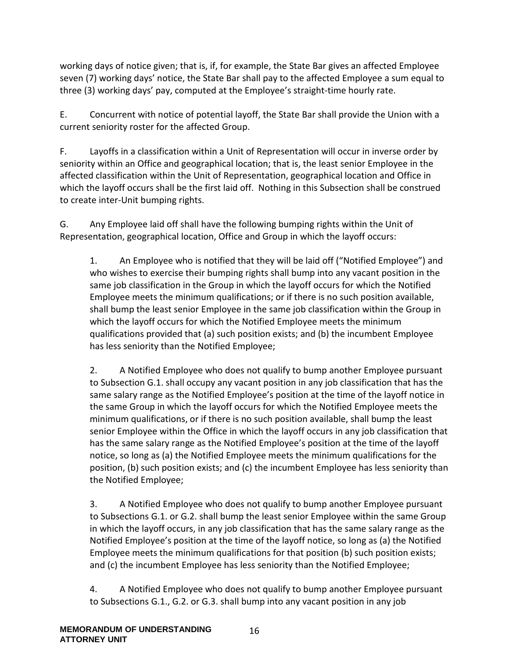working days of notice given; that is, if, for example, the State Bar gives an affected Employee seven (7) working days' notice, the State Bar shall pay to the affected Employee a sum equal to three (3) working days' pay, computed at the Employee's straight-time hourly rate.

E. Concurrent with notice of potential layoff, the State Bar shall provide the Union with a current seniority roster for the affected Group.

F. Layoffs in a classification within a Unit of Representation will occur in inverse order by seniority within an Office and geographical location; that is, the least senior Employee in the affected classification within the Unit of Representation, geographical location and Office in which the layoff occurs shall be the first laid off. Nothing in this Subsection shall be construed to create inter-Unit bumping rights.

G. Any Employee laid off shall have the following bumping rights within the Unit of Representation, geographical location, Office and Group in which the layoff occurs:

1. An Employee who is notified that they will be laid off ("Notified Employee") and who wishes to exercise their bumping rights shall bump into any vacant position in the same job classification in the Group in which the layoff occurs for which the Notified Employee meets the minimum qualifications; or if there is no such position available, shall bump the least senior Employee in the same job classification within the Group in which the layoff occurs for which the Notified Employee meets the minimum qualifications provided that (a) such position exists; and (b) the incumbent Employee has less seniority than the Notified Employee;

2. A Notified Employee who does not qualify to bump another Employee pursuant to Subsection G.1. shall occupy any vacant position in any job classification that has the same salary range as the Notified Employee's position at the time of the layoff notice in the same Group in which the layoff occurs for which the Notified Employee meets the minimum qualifications, or if there is no such position available, shall bump the least senior Employee within the Office in which the layoff occurs in any job classification that has the same salary range as the Notified Employee's position at the time of the layoff notice, so long as (a) the Notified Employee meets the minimum qualifications for the position, (b) such position exists; and (c) the incumbent Employee has less seniority than the Notified Employee;

3. A Notified Employee who does not qualify to bump another Employee pursuant to Subsections G.1. or G.2. shall bump the least senior Employee within the same Group in which the layoff occurs, in any job classification that has the same salary range as the Notified Employee's position at the time of the layoff notice, so long as (a) the Notified Employee meets the minimum qualifications for that position (b) such position exists; and (c) the incumbent Employee has less seniority than the Notified Employee;

4. A Notified Employee who does not qualify to bump another Employee pursuant to Subsections G.1., G.2. or G.3. shall bump into any vacant position in any job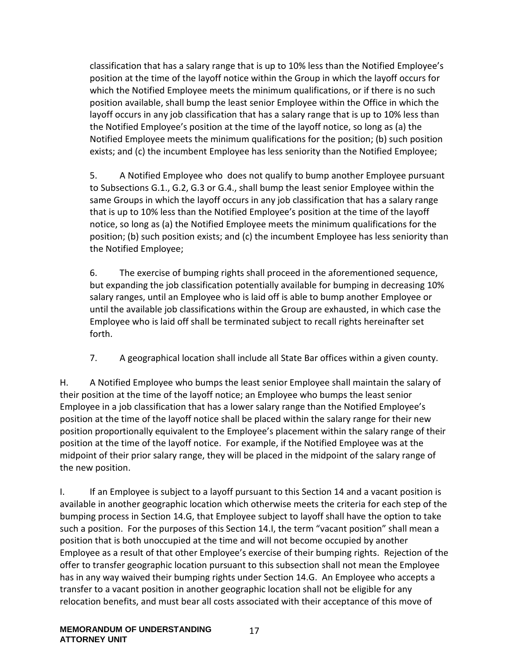classification that has a salary range that is up to 10% less than the Notified Employee's position at the time of the layoff notice within the Group in which the layoff occurs for which the Notified Employee meets the minimum qualifications, or if there is no such position available, shall bump the least senior Employee within the Office in which the layoff occurs in any job classification that has a salary range that is up to 10% less than the Notified Employee's position at the time of the layoff notice, so long as (a) the Notified Employee meets the minimum qualifications for the position; (b) such position exists; and (c) the incumbent Employee has less seniority than the Notified Employee;

5. A Notified Employee who does not qualify to bump another Employee pursuant to Subsections G.1., G.2, G.3 or G.4., shall bump the least senior Employee within the same Groups in which the layoff occurs in any job classification that has a salary range that is up to 10% less than the Notified Employee's position at the time of the layoff notice, so long as (a) the Notified Employee meets the minimum qualifications for the position; (b) such position exists; and (c) the incumbent Employee has less seniority than the Notified Employee;

6. The exercise of bumping rights shall proceed in the aforementioned sequence, but expanding the job classification potentially available for bumping in decreasing 10% salary ranges, until an Employee who is laid off is able to bump another Employee or until the available job classifications within the Group are exhausted, in which case the Employee who is laid off shall be terminated subject to recall rights hereinafter set forth.

7. A geographical location shall include all State Bar offices within a given county.

H. A Notified Employee who bumps the least senior Employee shall maintain the salary of their position at the time of the layoff notice; an Employee who bumps the least senior Employee in a job classification that has a lower salary range than the Notified Employee's position at the time of the layoff notice shall be placed within the salary range for their new position proportionally equivalent to the Employee's placement within the salary range of their position at the time of the layoff notice. For example, if the Notified Employee was at the midpoint of their prior salary range, they will be placed in the midpoint of the salary range of the new position.

I. If an Employee is subject to a layoff pursuant to this Section 14 and a vacant position is available in another geographic location which otherwise meets the criteria for each step of the bumping process in Section 14.G, that Employee subject to layoff shall have the option to take such a position. For the purposes of this Section 14.I, the term "vacant position" shall mean a position that is both unoccupied at the time and will not become occupied by another Employee as a result of that other Employee's exercise of their bumping rights. Rejection of the offer to transfer geographic location pursuant to this subsection shall not mean the Employee has in any way waived their bumping rights under Section 14.G. An Employee who accepts a transfer to a vacant position in another geographic location shall not be eligible for any relocation benefits, and must bear all costs associated with their acceptance of this move of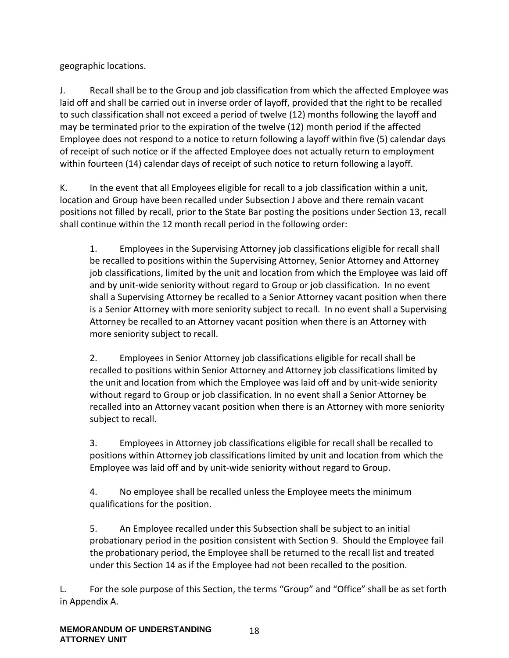geographic locations.

J. Recall shall be to the Group and job classification from which the affected Employee was laid off and shall be carried out in inverse order of layoff, provided that the right to be recalled to such classification shall not exceed a period of twelve (12) months following the layoff and may be terminated prior to the expiration of the twelve (12) month period if the affected Employee does not respond to a notice to return following a layoff within five (5) calendar days of receipt of such notice or if the affected Employee does not actually return to employment within fourteen (14) calendar days of receipt of such notice to return following a layoff.

K. In the event that all Employees eligible for recall to a job classification within a unit, location and Group have been recalled under Subsection J above and there remain vacant positions not filled by recall, prior to the State Bar posting the positions under Section 13, recall shall continue within the 12 month recall period in the following order:

1. Employees in the Supervising Attorney job classifications eligible for recall shall be recalled to positions within the Supervising Attorney, Senior Attorney and Attorney job classifications, limited by the unit and location from which the Employee was laid off and by unit-wide seniority without regard to Group or job classification. In no event shall a Supervising Attorney be recalled to a Senior Attorney vacant position when there is a Senior Attorney with more seniority subject to recall. In no event shall a Supervising Attorney be recalled to an Attorney vacant position when there is an Attorney with more seniority subject to recall.

2. Employees in Senior Attorney job classifications eligible for recall shall be recalled to positions within Senior Attorney and Attorney job classifications limited by the unit and location from which the Employee was laid off and by unit-wide seniority without regard to Group or job classification. In no event shall a Senior Attorney be recalled into an Attorney vacant position when there is an Attorney with more seniority subject to recall.

3. Employees in Attorney job classifications eligible for recall shall be recalled to positions within Attorney job classifications limited by unit and location from which the Employee was laid off and by unit-wide seniority without regard to Group.

4. No employee shall be recalled unless the Employee meets the minimum qualifications for the position.

5. An Employee recalled under this Subsection shall be subject to an initial probationary period in the position consistent with Section 9. Should the Employee fail the probationary period, the Employee shall be returned to the recall list and treated under this Section 14 as if the Employee had not been recalled to the position.

L. For the sole purpose of this Section, the terms "Group" and "Office" shall be as set forth in Appendix A.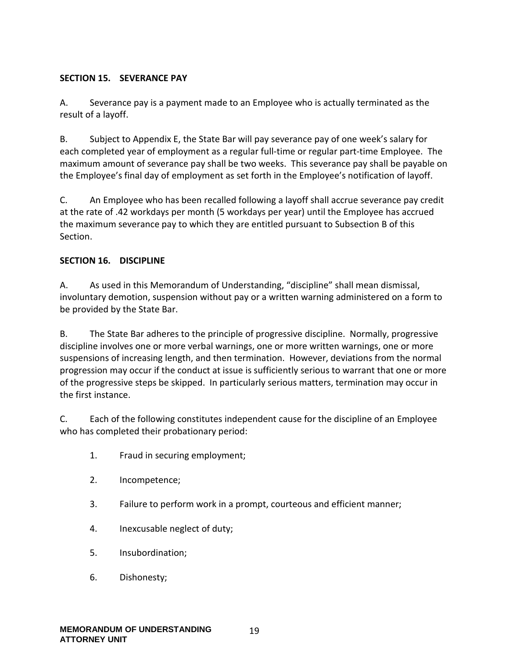#### <span id="page-18-0"></span>**SECTION 15. SEVERANCE PAY**

A. Severance pay is a payment made to an Employee who is actually terminated as the result of a layoff.

B. Subject to Appendix E, the State Bar will pay severance pay of one week's salary for each completed year of employment as a regular full-time or regular part-time Employee. The maximum amount of severance pay shall be two weeks. This severance pay shall be payable on the Employee's final day of employment as set forth in the Employee's notification of layoff.

C. An Employee who has been recalled following a layoff shall accrue severance pay credit at the rate of .42 workdays per month (5 workdays per year) until the Employee has accrued the maximum severance pay to which they are entitled pursuant to Subsection B of this Section.

#### <span id="page-18-1"></span>**SECTION 16. DISCIPLINE**

A. As used in this Memorandum of Understanding, "discipline" shall mean dismissal, involuntary demotion, suspension without pay or a written warning administered on a form to be provided by the State Bar.

B. The State Bar adheres to the principle of progressive discipline. Normally, progressive discipline involves one or more verbal warnings, one or more written warnings, one or more suspensions of increasing length, and then termination. However, deviations from the normal progression may occur if the conduct at issue is sufficiently serious to warrant that one or more of the progressive steps be skipped. In particularly serious matters, termination may occur in the first instance.

C. Each of the following constitutes independent cause for the discipline of an Employee who has completed their probationary period:

- 1. Fraud in securing employment;
- 2. Incompetence;
- 3. Failure to perform work in a prompt, courteous and efficient manner;
- 4. Inexcusable neglect of duty;
- 5. Insubordination;
- 6. Dishonesty;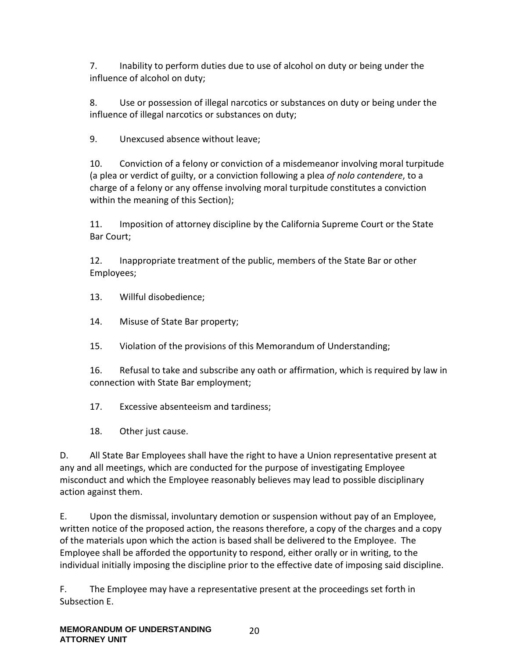7. Inability to perform duties due to use of alcohol on duty or being under the influence of alcohol on duty;

8. Use or possession of illegal narcotics or substances on duty or being under the influence of illegal narcotics or substances on duty;

9. Unexcused absence without leave;

10. Conviction of a felony or conviction of a misdemeanor involving moral turpitude (a plea or verdict of guilty, or a conviction following a plea *of nolo contendere*, to a charge of a felony or any offense involving moral turpitude constitutes a conviction within the meaning of this Section);

11. Imposition of attorney discipline by the California Supreme Court or the State Bar Court;

12. Inappropriate treatment of the public, members of the State Bar or other Employees;

13. Willful disobedience;

14. Misuse of State Bar property;

15. Violation of the provisions of this Memorandum of Understanding;

16. Refusal to take and subscribe any oath or affirmation, which is required by law in connection with State Bar employment;

17. Excessive absenteeism and tardiness;

18. Other just cause.

D. All State Bar Employees shall have the right to have a Union representative present at any and all meetings, which are conducted for the purpose of investigating Employee misconduct and which the Employee reasonably believes may lead to possible disciplinary action against them.

E. Upon the dismissal, involuntary demotion or suspension without pay of an Employee, written notice of the proposed action, the reasons therefore, a copy of the charges and a copy of the materials upon which the action is based shall be delivered to the Employee. The Employee shall be afforded the opportunity to respond, either orally or in writing, to the individual initially imposing the discipline prior to the effective date of imposing said discipline.

F. The Employee may have a representative present at the proceedings set forth in Subsection E.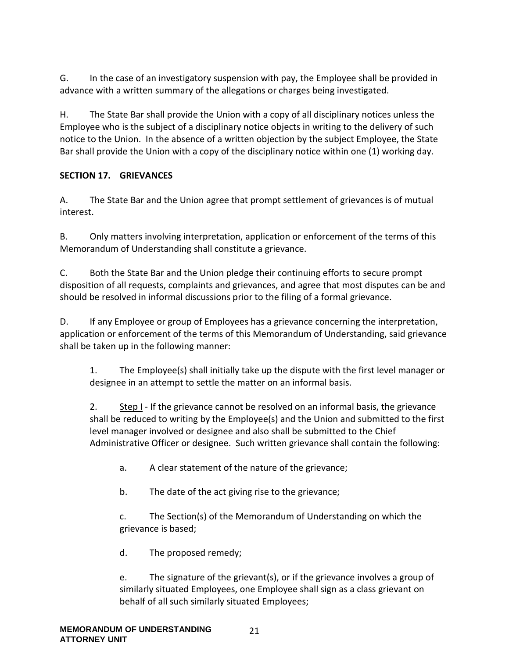G. In the case of an investigatory suspension with pay, the Employee shall be provided in advance with a written summary of the allegations or charges being investigated.

H. The State Bar shall provide the Union with a copy of all disciplinary notices unless the Employee who is the subject of a disciplinary notice objects in writing to the delivery of such notice to the Union. In the absence of a written objection by the subject Employee, the State Bar shall provide the Union with a copy of the disciplinary notice within one (1) working day.

#### <span id="page-20-0"></span>**SECTION 17. GRIEVANCES**

A. The State Bar and the Union agree that prompt settlement of grievances is of mutual interest.

B. Only matters involving interpretation, application or enforcement of the terms of this Memorandum of Understanding shall constitute a grievance.

C. Both the State Bar and the Union pledge their continuing efforts to secure prompt disposition of all requests, complaints and grievances, and agree that most disputes can be and should be resolved in informal discussions prior to the filing of a formal grievance.

D. If any Employee or group of Employees has a grievance concerning the interpretation, application or enforcement of the terms of this Memorandum of Understanding, said grievance shall be taken up in the following manner:

1. The Employee(s) shall initially take up the dispute with the first level manager or designee in an attempt to settle the matter on an informal basis.

2. Step I - If the grievance cannot be resolved on an informal basis, the grievance shall be reduced to writing by the Employee(s) and the Union and submitted to the first level manager involved or designee and also shall be submitted to the Chief Administrative Officer or designee. Such written grievance shall contain the following:

- a. A clear statement of the nature of the grievance;
- b. The date of the act giving rise to the grievance;

c. The Section(s) of the Memorandum of Understanding on which the grievance is based;

d. The proposed remedy;

e. The signature of the grievant(s), or if the grievance involves a group of similarly situated Employees, one Employee shall sign as a class grievant on behalf of all such similarly situated Employees;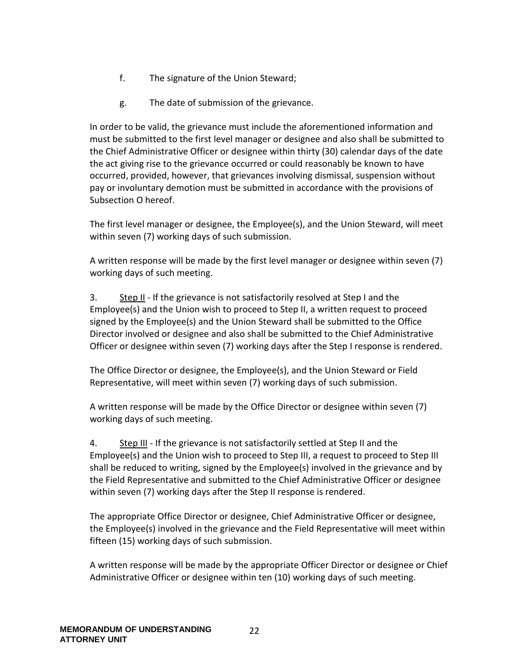- f. The signature of the Union Steward;
- g. The date of submission of the grievance.

In order to be valid, the grievance must include the aforementioned information and must be submitted to the first level manager or designee and also shall be submitted to the Chief Administrative Officer or designee within thirty (30) calendar days of the date the act giving rise to the grievance occurred or could reasonably be known to have occurred, provided, however, that grievances involving dismissal, suspension without pay or involuntary demotion must be submitted in accordance with the provisions of Subsection O hereof.

The first level manager or designee, the Employee(s), and the Union Steward, will meet within seven (7) working days of such submission.

A written response will be made by the first level manager or designee within seven (7) working days of such meeting.

3. Step II - If the grievance is not satisfactorily resolved at Step I and the Employee(s) and the Union wish to proceed to Step II, a written request to proceed signed by the Employee(s) and the Union Steward shall be submitted to the Office Director involved or designee and also shall be submitted to the Chief Administrative Officer or designee within seven (7) working days after the Step I response is rendered.

The Office Director or designee, the Employee(s), and the Union Steward or Field Representative, will meet within seven (7) working days of such submission.

A written response will be made by the Office Director or designee within seven (7) working days of such meeting.

4. Step III - If the grievance is not satisfactorily settled at Step II and the Employee(s) and the Union wish to proceed to Step III, a request to proceed to Step III shall be reduced to writing, signed by the Employee(s) involved in the grievance and by the Field Representative and submitted to the Chief Administrative Officer or designee within seven (7) working days after the Step II response is rendered.

The appropriate Office Director or designee, Chief Administrative Officer or designee, the Employee(s) involved in the grievance and the Field Representative will meet within fifteen (15) working days of such submission.

A written response will be made by the appropriate Officer Director or designee or Chief Administrative Officer or designee within ten (10) working days of such meeting.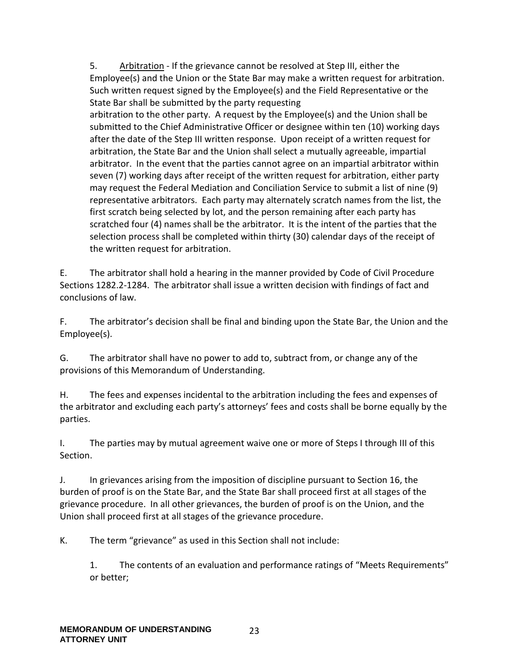5. Arbitration - If the grievance cannot be resolved at Step III, either the Employee(s) and the Union or the State Bar may make a written request for arbitration. Such written request signed by the Employee(s) and the Field Representative or the State Bar shall be submitted by the party requesting arbitration to the other party. A request by the Employee(s) and the Union shall be submitted to the Chief Administrative Officer or designee within ten (10) working days after the date of the Step III written response. Upon receipt of a written request for arbitration, the State Bar and the Union shall select a mutually agreeable, impartial arbitrator. In the event that the parties cannot agree on an impartial arbitrator within seven (7) working days after receipt of the written request for arbitration, either party may request the Federal Mediation and Conciliation Service to submit a list of nine (9) representative arbitrators. Each party may alternately scratch names from the list, the first scratch being selected by lot, and the person remaining after each party has scratched four (4) names shall be the arbitrator. It is the intent of the parties that the selection process shall be completed within thirty (30) calendar days of the receipt of the written request for arbitration.

E. The arbitrator shall hold a hearing in the manner provided by Code of Civil Procedure Sections 1282.2-1284. The arbitrator shall issue a written decision with findings of fact and conclusions of law.

F. The arbitrator's decision shall be final and binding upon the State Bar, the Union and the Employee(s).

G. The arbitrator shall have no power to add to, subtract from, or change any of the provisions of this Memorandum of Understanding.

H. The fees and expenses incidental to the arbitration including the fees and expenses of the arbitrator and excluding each party's attorneys' fees and costs shall be borne equally by the parties.

I. The parties may by mutual agreement waive one or more of Steps I through III of this Section.

J. In grievances arising from the imposition of discipline pursuant to Section 16, the burden of proof is on the State Bar, and the State Bar shall proceed first at all stages of the grievance procedure. In all other grievances, the burden of proof is on the Union, and the Union shall proceed first at all stages of the grievance procedure.

K. The term "grievance" as used in this Section shall not include:

1. The contents of an evaluation and performance ratings of "Meets Requirements" or better;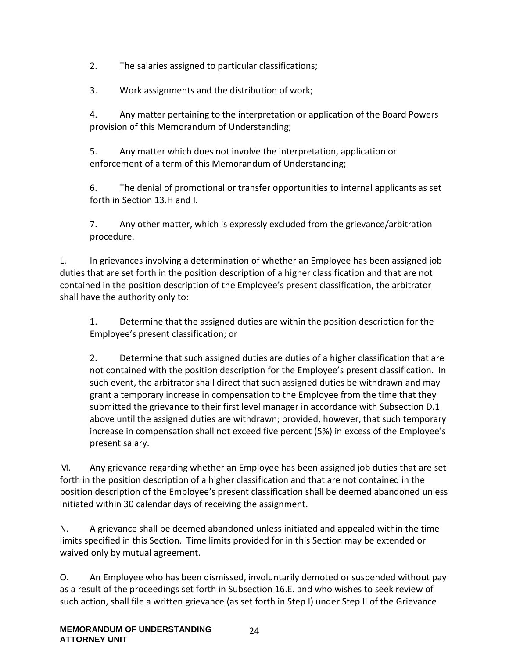2. The salaries assigned to particular classifications;

3. Work assignments and the distribution of work;

4. Any matter pertaining to the interpretation or application of the Board Powers provision of this Memorandum of Understanding;

5. Any matter which does not involve the interpretation, application or enforcement of a term of this Memorandum of Understanding;

6. The denial of promotional or transfer opportunities to internal applicants as set forth in Section 13.H and I.

7. Any other matter, which is expressly excluded from the grievance/arbitration procedure.

L. In grievances involving a determination of whether an Employee has been assigned job duties that are set forth in the position description of a higher classification and that are not contained in the position description of the Employee's present classification, the arbitrator shall have the authority only to:

1. Determine that the assigned duties are within the position description for the Employee's present classification; or

2. Determine that such assigned duties are duties of a higher classification that are not contained with the position description for the Employee's present classification. In such event, the arbitrator shall direct that such assigned duties be withdrawn and may grant a temporary increase in compensation to the Employee from the time that they submitted the grievance to their first level manager in accordance with Subsection D.1 above until the assigned duties are withdrawn; provided, however, that such temporary increase in compensation shall not exceed five percent (5%) in excess of the Employee's present salary.

M. Any grievance regarding whether an Employee has been assigned job duties that are set forth in the position description of a higher classification and that are not contained in the position description of the Employee's present classification shall be deemed abandoned unless initiated within 30 calendar days of receiving the assignment.

N. A grievance shall be deemed abandoned unless initiated and appealed within the time limits specified in this Section. Time limits provided for in this Section may be extended or waived only by mutual agreement.

O. An Employee who has been dismissed, involuntarily demoted or suspended without pay as a result of the proceedings set forth in Subsection 16.E. and who wishes to seek review of such action, shall file a written grievance (as set forth in Step I) under Step II of the Grievance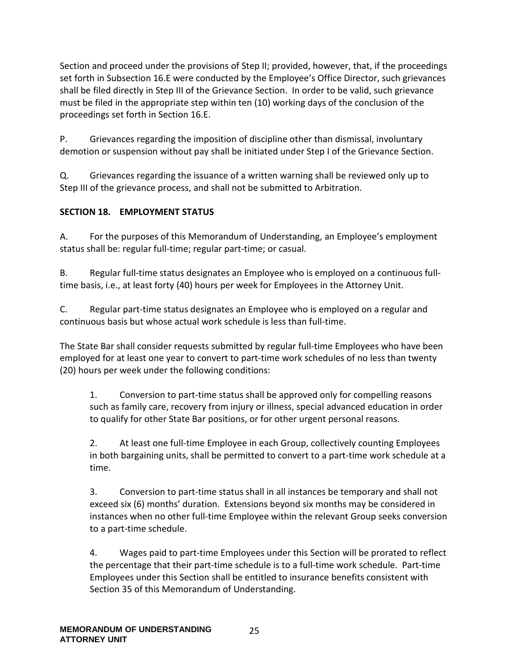Section and proceed under the provisions of Step II; provided, however, that, if the proceedings set forth in Subsection 16.E were conducted by the Employee's Office Director, such grievances shall be filed directly in Step III of the Grievance Section. In order to be valid, such grievance must be filed in the appropriate step within ten (10) working days of the conclusion of the proceedings set forth in Section 16.E.

P. Grievances regarding the imposition of discipline other than dismissal, involuntary demotion or suspension without pay shall be initiated under Step I of the Grievance Section.

Q. Grievances regarding the issuance of a written warning shall be reviewed only up to Step III of the grievance process, and shall not be submitted to Arbitration.

#### <span id="page-24-0"></span>**SECTION 18. EMPLOYMENT STATUS**

A. For the purposes of this Memorandum of Understanding, an Employee's employment status shall be: regular full-time; regular part-time; or casual.

B. Regular full-time status designates an Employee who is employed on a continuous fulltime basis, i.e., at least forty (40) hours per week for Employees in the Attorney Unit.

C. Regular part-time status designates an Employee who is employed on a regular and continuous basis but whose actual work schedule is less than full-time.

The State Bar shall consider requests submitted by regular full-time Employees who have been employed for at least one year to convert to part-time work schedules of no less than twenty (20) hours per week under the following conditions:

1. Conversion to part-time status shall be approved only for compelling reasons such as family care, recovery from injury or illness, special advanced education in order to qualify for other State Bar positions, or for other urgent personal reasons.

2. At least one full-time Employee in each Group, collectively counting Employees in both bargaining units, shall be permitted to convert to a part-time work schedule at a time.

3. Conversion to part-time status shall in all instances be temporary and shall not exceed six (6) months' duration. Extensions beyond six months may be considered in instances when no other full-time Employee within the relevant Group seeks conversion to a part-time schedule.

4. Wages paid to part-time Employees under this Section will be prorated to reflect the percentage that their part-time schedule is to a full-time work schedule. Part-time Employees under this Section shall be entitled to insurance benefits consistent with Section 35 of this Memorandum of Understanding.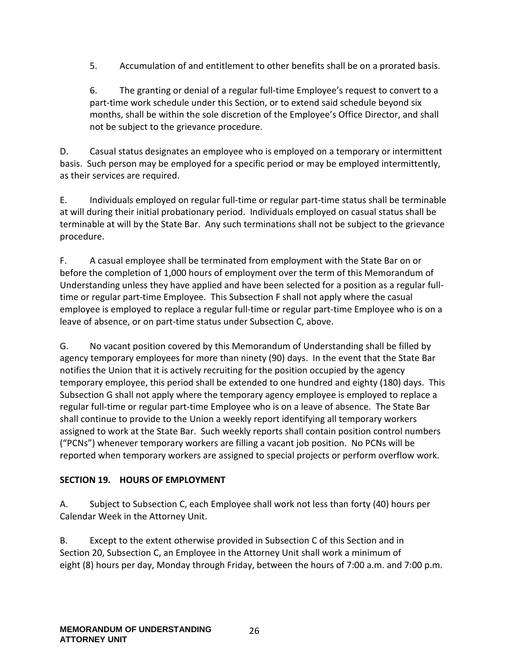5. Accumulation of and entitlement to other benefits shall be on a prorated basis.

6. The granting or denial of a regular full-time Employee's request to convert to a part-time work schedule under this Section, or to extend said schedule beyond six months, shall be within the sole discretion of the Employee's Office Director, and shall not be subject to the grievance procedure.

D. Casual status designates an employee who is employed on a temporary or intermittent basis. Such person may be employed for a specific period or may be employed intermittently, as their services are required.

E. Individuals employed on regular full-time or regular part-time status shall be terminable at will during their initial probationary period. Individuals employed on casual status shall be terminable at will by the State Bar. Any such terminations shall not be subject to the grievance procedure.

F. A casual employee shall be terminated from employment with the State Bar on or before the completion of 1,000 hours of employment over the term of this Memorandum of Understanding unless they have applied and have been selected for a position as a regular fulltime or regular part-time Employee. This Subsection F shall not apply where the casual employee is employed to replace a regular full-time or regular part-time Employee who is on a leave of absence, or on part-time status under Subsection C, above.

G. No vacant position covered by this Memorandum of Understanding shall be filled by agency temporary employees for more than ninety (90) days. In the event that the State Bar notifies the Union that it is actively recruiting for the position occupied by the agency temporary employee, this period shall be extended to one hundred and eighty (180) days. This Subsection G shall not apply where the temporary agency employee is employed to replace a regular full-time or regular part-time Employee who is on a leave of absence. The State Bar shall continue to provide to the Union a weekly report identifying all temporary workers assigned to work at the State Bar. Such weekly reports shall contain position control numbers ("PCNs") whenever temporary workers are filling a vacant job position. No PCNs will be reported when temporary workers are assigned to special projects or perform overflow work.

#### <span id="page-25-0"></span>**SECTION 19. HOURS OF EMPLOYMENT**

A. Subject to Subsection C, each Employee shall work not less than forty (40) hours per Calendar Week in the Attorney Unit.

B. Except to the extent otherwise provided in Subsection C of this Section and in Section 20, Subsection C, an Employee in the Attorney Unit shall work a minimum of eight (8) hours per day, Monday through Friday, between the hours of 7:00 a.m. and 7:00 p.m.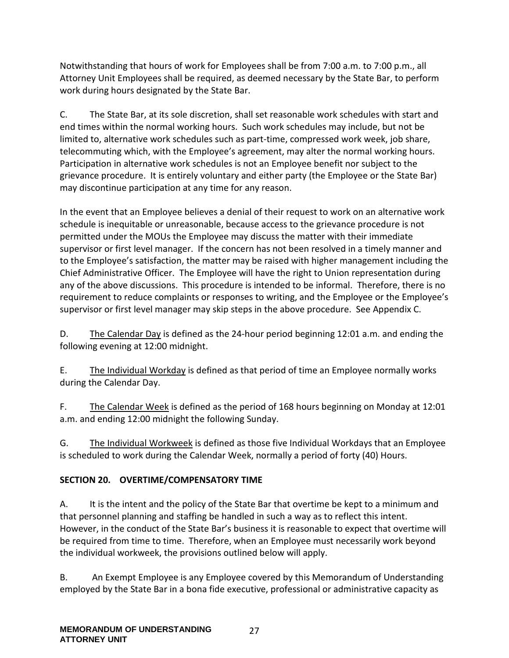Notwithstanding that hours of work for Employees shall be from 7:00 a.m. to 7:00 p.m., all Attorney Unit Employees shall be required, as deemed necessary by the State Bar, to perform work during hours designated by the State Bar.

C. The State Bar, at its sole discretion, shall set reasonable work schedules with start and end times within the normal working hours. Such work schedules may include, but not be limited to, alternative work schedules such as part-time, compressed work week, job share, telecommuting which, with the Employee's agreement, may alter the normal working hours. Participation in alternative work schedules is not an Employee benefit nor subject to the grievance procedure. It is entirely voluntary and either party (the Employee or the State Bar) may discontinue participation at any time for any reason.

In the event that an Employee believes a denial of their request to work on an alternative work schedule is inequitable or unreasonable, because access to the grievance procedure is not permitted under the MOUs the Employee may discuss the matter with their immediate supervisor or first level manager. If the concern has not been resolved in a timely manner and to the Employee's satisfaction, the matter may be raised with higher management including the Chief Administrative Officer. The Employee will have the right to Union representation during any of the above discussions. This procedure is intended to be informal. Therefore, there is no requirement to reduce complaints or responses to writing, and the Employee or the Employee's supervisor or first level manager may skip steps in the above procedure. See Appendix C.

D. The Calendar Day is defined as the 24-hour period beginning 12:01 a.m. and ending the following evening at 12:00 midnight.

E. The Individual Workday is defined as that period of time an Employee normally works during the Calendar Day.

F. The Calendar Week is defined as the period of 168 hours beginning on Monday at 12:01 a.m. and ending 12:00 midnight the following Sunday.

G. The Individual Workweek is defined as those five Individual Workdays that an Employee is scheduled to work during the Calendar Week, normally a period of forty (40) Hours.

## <span id="page-26-0"></span>**SECTION 20. OVERTIME/COMPENSATORY TIME**

A. It is the intent and the policy of the State Bar that overtime be kept to a minimum and that personnel planning and staffing be handled in such a way as to reflect this intent. However, in the conduct of the State Bar's business it is reasonable to expect that overtime will be required from time to time. Therefore, when an Employee must necessarily work beyond the individual workweek, the provisions outlined below will apply.

B. An Exempt Employee is any Employee covered by this Memorandum of Understanding employed by the State Bar in a bona fide executive, professional or administrative capacity as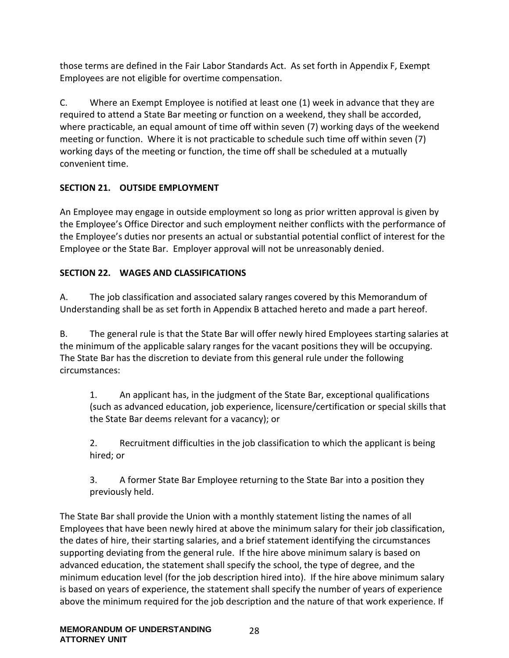those terms are defined in the Fair Labor Standards Act. As set forth in Appendix F, Exempt Employees are not eligible for overtime compensation.

C. Where an Exempt Employee is notified at least one (1) week in advance that they are required to attend a State Bar meeting or function on a weekend, they shall be accorded, where practicable, an equal amount of time off within seven (7) working days of the weekend meeting or function. Where it is not practicable to schedule such time off within seven (7) working days of the meeting or function, the time off shall be scheduled at a mutually convenient time.

# <span id="page-27-0"></span>**SECTION 21. OUTSIDE EMPLOYMENT**

An Employee may engage in outside employment so long as prior written approval is given by the Employee's Office Director and such employment neither conflicts with the performance of the Employee's duties nor presents an actual or substantial potential conflict of interest for the Employee or the State Bar. Employer approval will not be unreasonably denied.

# <span id="page-27-1"></span>**SECTION 22. WAGES AND CLASSIFICATIONS**

A. The job classification and associated salary ranges covered by this Memorandum of Understanding shall be as set forth in Appendix B attached hereto and made a part hereof.

B. The general rule is that the State Bar will offer newly hired Employees starting salaries at the minimum of the applicable salary ranges for the vacant positions they will be occupying. The State Bar has the discretion to deviate from this general rule under the following circumstances:

1. An applicant has, in the judgment of the State Bar, exceptional qualifications (such as advanced education, job experience, licensure/certification or special skills that the State Bar deems relevant for a vacancy); or

2. Recruitment difficulties in the job classification to which the applicant is being hired; or

3. A former State Bar Employee returning to the State Bar into a position they previously held.

The State Bar shall provide the Union with a monthly statement listing the names of all Employees that have been newly hired at above the minimum salary for their job classification, the dates of hire, their starting salaries, and a brief statement identifying the circumstances supporting deviating from the general rule. If the hire above minimum salary is based on advanced education, the statement shall specify the school, the type of degree, and the minimum education level (for the job description hired into). If the hire above minimum salary is based on years of experience, the statement shall specify the number of years of experience above the minimum required for the job description and the nature of that work experience. If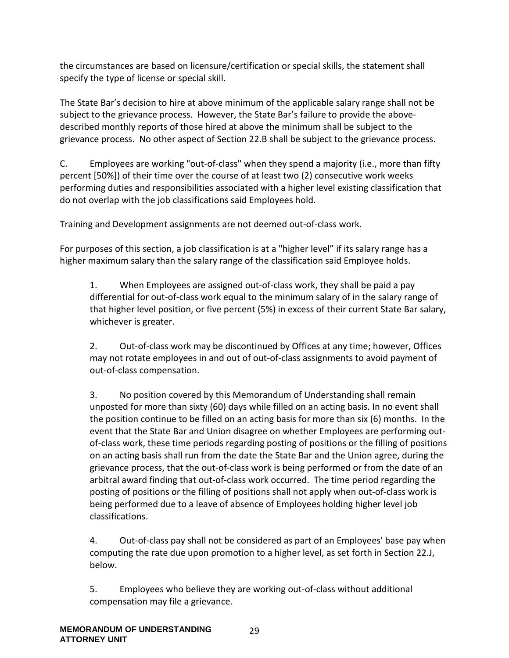the circumstances are based on licensure/certification or special skills, the statement shall specify the type of license or special skill.

The State Bar's decision to hire at above minimum of the applicable salary range shall not be subject to the grievance process. However, the State Bar's failure to provide the abovedescribed monthly reports of those hired at above the minimum shall be subject to the grievance process. No other aspect of Section 22.B shall be subject to the grievance process.

C. Employees are working "out-of-class" when they spend a majority (i.e., more than fifty percent [50%]) of their time over the course of at least two (2) consecutive work weeks performing duties and responsibilities associated with a higher level existing classification that do not overlap with the job classifications said Employees hold.

Training and Development assignments are not deemed out-of-class work.

For purposes of this section, a job classification is at a "higher level" if its salary range has a higher maximum salary than the salary range of the classification said Employee holds.

1. When Employees are assigned out-of-class work, they shall be paid a pay differential for out-of-class work equal to the minimum salary of in the salary range of that higher level position, or five percent (5%) in excess of their current State Bar salary, whichever is greater.

2. Out-of-class work may be discontinued by Offices at any time; however, Offices may not rotate employees in and out of out-of-class assignments to avoid payment of out-of-class compensation.

3. No position covered by this Memorandum of Understanding shall remain unposted for more than sixty (60) days while filled on an acting basis. In no event shall the position continue to be filled on an acting basis for more than six (6) months. In the event that the State Bar and Union disagree on whether Employees are performing outof-class work, these time periods regarding posting of positions or the filling of positions on an acting basis shall run from the date the State Bar and the Union agree, during the grievance process, that the out-of-class work is being performed or from the date of an arbitral award finding that out-of-class work occurred. The time period regarding the posting of positions or the filling of positions shall not apply when out-of-class work is being performed due to a leave of absence of Employees holding higher level job classifications.

4. Out-of-class pay shall not be considered as part of an Employees' base pay when computing the rate due upon promotion to a higher level, as set forth in Section 22.J, below.

5. Employees who believe they are working out-of-class without additional compensation may file a grievance.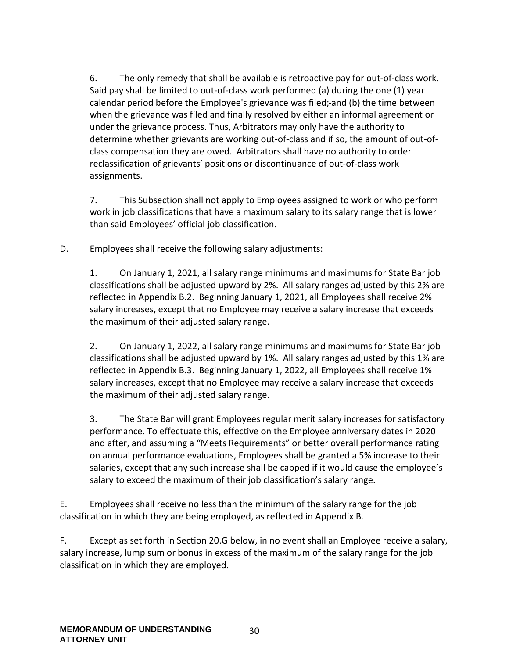6. The only remedy that shall be available is retroactive pay for out-of-class work. Said pay shall be limited to out-of-class work performed (a) during the one (1) year calendar period before the Employee's grievance was filed; and (b) the time between when the grievance was filed and finally resolved by either an informal agreement or under the grievance process. Thus, Arbitrators may only have the authority to determine whether grievants are working out-of-class and if so, the amount of out-ofclass compensation they are owed. Arbitrators shall have no authority to order reclassification of grievants' positions or discontinuance of out-of-class work assignments.

7. This Subsection shall not apply to Employees assigned to work or who perform work in job classifications that have a maximum salary to its salary range that is lower than said Employees' official job classification.

D. Employees shall receive the following salary adjustments:

1. On January 1, 2021, all salary range minimums and maximums for State Bar job classifications shall be adjusted upward by 2%. All salary ranges adjusted by this 2% are reflected in Appendix B.2. Beginning January 1, 2021, all Employees shall receive 2% salary increases, except that no Employee may receive a salary increase that exceeds the maximum of their adjusted salary range.

2. On January 1, 2022, all salary range minimums and maximums for State Bar job classifications shall be adjusted upward by 1%. All salary ranges adjusted by this 1% are reflected in Appendix B.3. Beginning January 1, 2022, all Employees shall receive 1% salary increases, except that no Employee may receive a salary increase that exceeds the maximum of their adjusted salary range.

3. The State Bar will grant Employees regular merit salary increases for satisfactory performance. To effectuate this, effective on the Employee anniversary dates in 2020 and after, and assuming a "Meets Requirements" or better overall performance rating on annual performance evaluations, Employees shall be granted a 5% increase to their salaries, except that any such increase shall be capped if it would cause the employee's salary to exceed the maximum of their job classification's salary range.

E. Employees shall receive no less than the minimum of the salary range for the job classification in which they are being employed, as reflected in Appendix B.

F. Except as set forth in Section 20.G below, in no event shall an Employee receive a salary, salary increase, lump sum or bonus in excess of the maximum of the salary range for the job classification in which they are employed.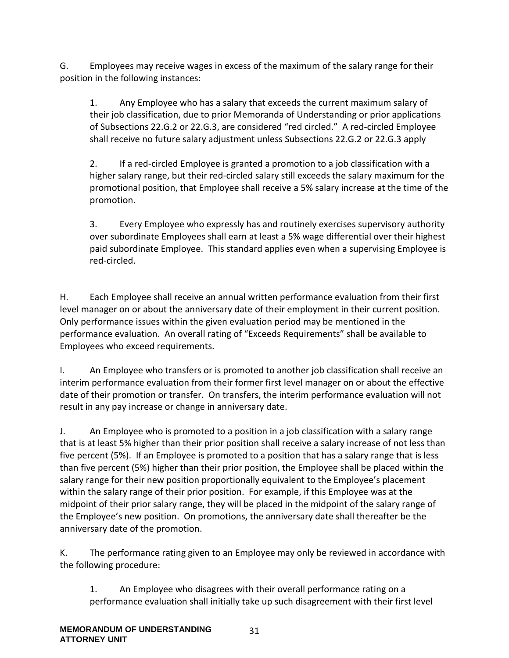G. Employees may receive wages in excess of the maximum of the salary range for their position in the following instances:

1. Any Employee who has a salary that exceeds the current maximum salary of their job classification, due to prior Memoranda of Understanding or prior applications of Subsections 22.G.2 or 22.G.3, are considered "red circled." A red-circled Employee shall receive no future salary adjustment unless Subsections 22.G.2 or 22.G.3 apply

2. If a red-circled Employee is granted a promotion to a job classification with a higher salary range, but their red-circled salary still exceeds the salary maximum for the promotional position, that Employee shall receive a 5% salary increase at the time of the promotion.

3. Every Employee who expressly has and routinely exercises supervisory authority over subordinate Employees shall earn at least a 5% wage differential over their highest paid subordinate Employee. This standard applies even when a supervising Employee is red-circled.

H. Each Employee shall receive an annual written performance evaluation from their first level manager on or about the anniversary date of their employment in their current position. Only performance issues within the given evaluation period may be mentioned in the performance evaluation. An overall rating of "Exceeds Requirements" shall be available to Employees who exceed requirements.

I. An Employee who transfers or is promoted to another job classification shall receive an interim performance evaluation from their former first level manager on or about the effective date of their promotion or transfer. On transfers, the interim performance evaluation will not result in any pay increase or change in anniversary date.

J. An Employee who is promoted to a position in a job classification with a salary range that is at least 5% higher than their prior position shall receive a salary increase of not less than five percent (5%). If an Employee is promoted to a position that has a salary range that is less than five percent (5%) higher than their prior position, the Employee shall be placed within the salary range for their new position proportionally equivalent to the Employee's placement within the salary range of their prior position. For example, if this Employee was at the midpoint of their prior salary range, they will be placed in the midpoint of the salary range of the Employee's new position. On promotions, the anniversary date shall thereafter be the anniversary date of the promotion.

K. The performance rating given to an Employee may only be reviewed in accordance with the following procedure:

1. An Employee who disagrees with their overall performance rating on a performance evaluation shall initially take up such disagreement with their first level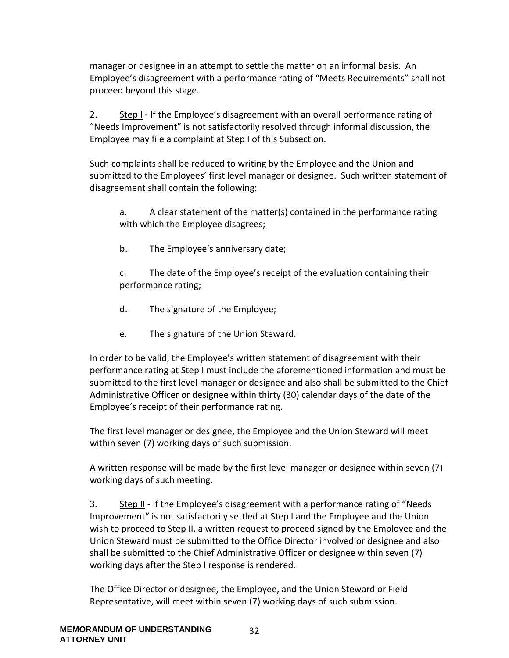manager or designee in an attempt to settle the matter on an informal basis. An Employee's disagreement with a performance rating of "Meets Requirements" shall not proceed beyond this stage.

2. Step I - If the Employee's disagreement with an overall performance rating of "Needs Improvement" is not satisfactorily resolved through informal discussion, the Employee may file a complaint at Step I of this Subsection.

Such complaints shall be reduced to writing by the Employee and the Union and submitted to the Employees' first level manager or designee. Such written statement of disagreement shall contain the following:

a. A clear statement of the matter(s) contained in the performance rating with which the Employee disagrees;

b. The Employee's anniversary date;

c. The date of the Employee's receipt of the evaluation containing their performance rating;

- d. The signature of the Employee;
- e. The signature of the Union Steward.

In order to be valid, the Employee's written statement of disagreement with their performance rating at Step I must include the aforementioned information and must be submitted to the first level manager or designee and also shall be submitted to the Chief Administrative Officer or designee within thirty (30) calendar days of the date of the Employee's receipt of their performance rating.

The first level manager or designee, the Employee and the Union Steward will meet within seven (7) working days of such submission.

A written response will be made by the first level manager or designee within seven (7) working days of such meeting.

3. Step II - If the Employee's disagreement with a performance rating of "Needs Improvement" is not satisfactorily settled at Step I and the Employee and the Union wish to proceed to Step II, a written request to proceed signed by the Employee and the Union Steward must be submitted to the Office Director involved or designee and also shall be submitted to the Chief Administrative Officer or designee within seven (7) working days after the Step I response is rendered.

The Office Director or designee, the Employee, and the Union Steward or Field Representative, will meet within seven (7) working days of such submission.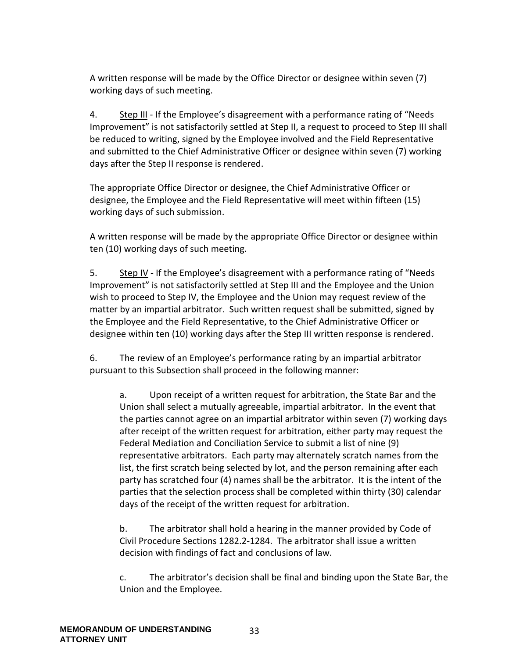A written response will be made by the Office Director or designee within seven (7) working days of such meeting.

4. Step III - If the Employee's disagreement with a performance rating of "Needs Improvement" is not satisfactorily settled at Step II, a request to proceed to Step III shall be reduced to writing, signed by the Employee involved and the Field Representative and submitted to the Chief Administrative Officer or designee within seven (7) working days after the Step II response is rendered.

The appropriate Office Director or designee, the Chief Administrative Officer or designee, the Employee and the Field Representative will meet within fifteen (15) working days of such submission.

A written response will be made by the appropriate Office Director or designee within ten (10) working days of such meeting.

5. Step IV - If the Employee's disagreement with a performance rating of "Needs Improvement" is not satisfactorily settled at Step III and the Employee and the Union wish to proceed to Step IV, the Employee and the Union may request review of the matter by an impartial arbitrator. Such written request shall be submitted, signed by the Employee and the Field Representative, to the Chief Administrative Officer or designee within ten (10) working days after the Step III written response is rendered.

6. The review of an Employee's performance rating by an impartial arbitrator pursuant to this Subsection shall proceed in the following manner:

a. Upon receipt of a written request for arbitration, the State Bar and the Union shall select a mutually agreeable, impartial arbitrator. In the event that the parties cannot agree on an impartial arbitrator within seven (7) working days after receipt of the written request for arbitration, either party may request the Federal Mediation and Conciliation Service to submit a list of nine (9) representative arbitrators. Each party may alternately scratch names from the list, the first scratch being selected by lot, and the person remaining after each party has scratched four (4) names shall be the arbitrator. It is the intent of the parties that the selection process shall be completed within thirty (30) calendar days of the receipt of the written request for arbitration.

b. The arbitrator shall hold a hearing in the manner provided by Code of Civil Procedure Sections 1282.2-1284. The arbitrator shall issue a written decision with findings of fact and conclusions of law.

c. The arbitrator's decision shall be final and binding upon the State Bar, the Union and the Employee.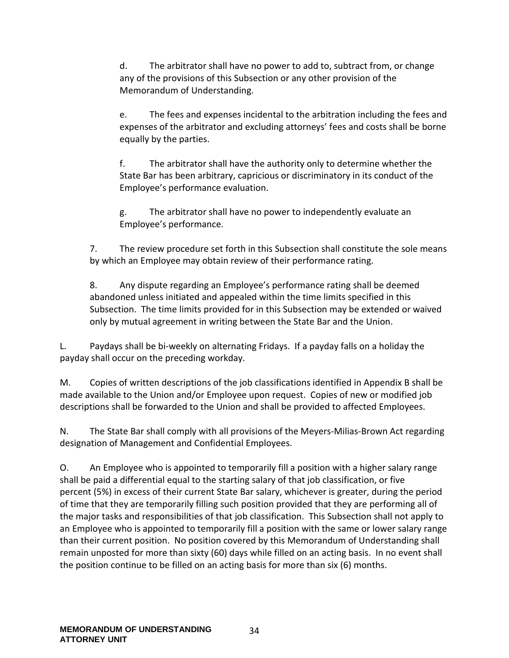d. The arbitrator shall have no power to add to, subtract from, or change any of the provisions of this Subsection or any other provision of the Memorandum of Understanding.

e. The fees and expenses incidental to the arbitration including the fees and expenses of the arbitrator and excluding attorneys' fees and costs shall be borne equally by the parties.

f. The arbitrator shall have the authority only to determine whether the State Bar has been arbitrary, capricious or discriminatory in its conduct of the Employee's performance evaluation.

g. The arbitrator shall have no power to independently evaluate an Employee's performance.

7. The review procedure set forth in this Subsection shall constitute the sole means by which an Employee may obtain review of their performance rating.

8. Any dispute regarding an Employee's performance rating shall be deemed abandoned unless initiated and appealed within the time limits specified in this Subsection. The time limits provided for in this Subsection may be extended or waived only by mutual agreement in writing between the State Bar and the Union.

L. Paydays shall be bi-weekly on alternating Fridays. If a payday falls on a holiday the payday shall occur on the preceding workday.

M. Copies of written descriptions of the job classifications identified in Appendix B shall be made available to the Union and/or Employee upon request. Copies of new or modified job descriptions shall be forwarded to the Union and shall be provided to affected Employees.

N. The State Bar shall comply with all provisions of the Meyers-Milias-Brown Act regarding designation of Management and Confidential Employees.

O. An Employee who is appointed to temporarily fill a position with a higher salary range shall be paid a differential equal to the starting salary of that job classification, or five percent (5%) in excess of their current State Bar salary, whichever is greater, during the period of time that they are temporarily filling such position provided that they are performing all of the major tasks and responsibilities of that job classification. This Subsection shall not apply to an Employee who is appointed to temporarily fill a position with the same or lower salary range than their current position. No position covered by this Memorandum of Understanding shall remain unposted for more than sixty (60) days while filled on an acting basis. In no event shall the position continue to be filled on an acting basis for more than six (6) months.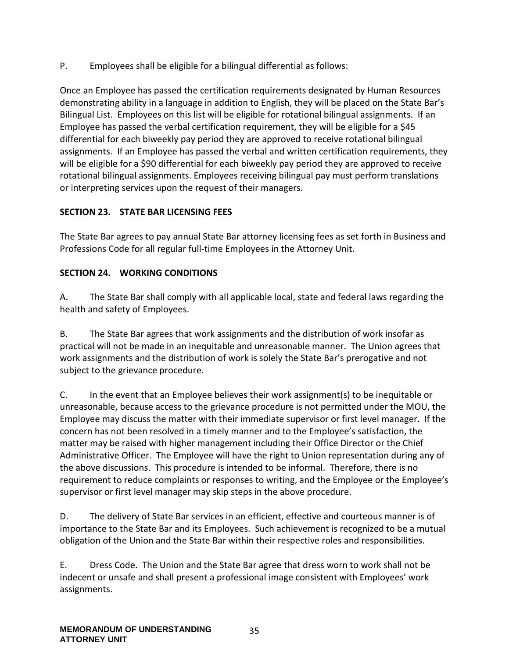P. Employees shall be eligible for a bilingual differential as follows:

Once an Employee has passed the certification requirements designated by Human Resources demonstrating ability in a language in addition to English, they will be placed on the State Bar's Bilingual List. Employees on this list will be eligible for rotational bilingual assignments. If an Employee has passed the verbal certification requirement, they will be eligible for a \$45 differential for each biweekly pay period they are approved to receive rotational bilingual assignments. If an Employee has passed the verbal and written certification requirements, they will be eligible for a \$90 differential for each biweekly pay period they are approved to receive rotational bilingual assignments. Employees receiving bilingual pay must perform translations or interpreting services upon the request of their managers.

#### <span id="page-34-0"></span>**SECTION 23. STATE BAR LICENSING FEES**

The State Bar agrees to pay annual State Bar attorney licensing fees as set forth in Business and Professions Code for all regular full-time Employees in the Attorney Unit.

#### <span id="page-34-1"></span>**SECTION 24. WORKING CONDITIONS**

A. The State Bar shall comply with all applicable local, state and federal laws regarding the health and safety of Employees.

B. The State Bar agrees that work assignments and the distribution of work insofar as practical will not be made in an inequitable and unreasonable manner. The Union agrees that work assignments and the distribution of work is solely the State Bar's prerogative and not subject to the grievance procedure.

C. In the event that an Employee believes their work assignment(s) to be inequitable or unreasonable, because access to the grievance procedure is not permitted under the MOU, the Employee may discuss the matter with their immediate supervisor or first level manager. If the concern has not been resolved in a timely manner and to the Employee's satisfaction, the matter may be raised with higher management including their Office Director or the Chief Administrative Officer. The Employee will have the right to Union representation during any of the above discussions. This procedure is intended to be informal. Therefore, there is no requirement to reduce complaints or responses to writing, and the Employee or the Employee's supervisor or first level manager may skip steps in the above procedure.

D. The delivery of State Bar services in an efficient, effective and courteous manner is of importance to the State Bar and its Employees. Such achievement is recognized to be a mutual obligation of the Union and the State Bar within their respective roles and responsibilities.

E. Dress Code. The Union and the State Bar agree that dress worn to work shall not be indecent or unsafe and shall present a professional image consistent with Employees' work assignments.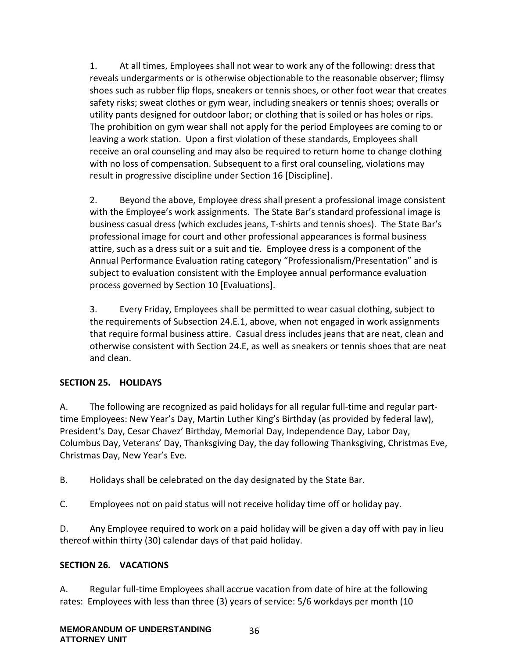1. At all times, Employees shall not wear to work any of the following: dress that reveals undergarments or is otherwise objectionable to the reasonable observer; flimsy shoes such as rubber flip flops, sneakers or tennis shoes, or other foot wear that creates safety risks; sweat clothes or gym wear, including sneakers or tennis shoes; overalls or utility pants designed for outdoor labor; or clothing that is soiled or has holes or rips. The prohibition on gym wear shall not apply for the period Employees are coming to or leaving a work station. Upon a first violation of these standards, Employees shall receive an oral counseling and may also be required to return home to change clothing with no loss of compensation. Subsequent to a first oral counseling, violations may result in progressive discipline under Section 16 [Discipline].

2. Beyond the above, Employee dress shall present a professional image consistent with the Employee's work assignments. The State Bar's standard professional image is business casual dress (which excludes jeans, T-shirts and tennis shoes). The State Bar's professional image for court and other professional appearances is formal business attire, such as a dress suit or a suit and tie. Employee dress is a component of the Annual Performance Evaluation rating category "Professionalism/Presentation" and is subject to evaluation consistent with the Employee annual performance evaluation process governed by Section 10 [Evaluations].

3. Every Friday, Employees shall be permitted to wear casual clothing, subject to the requirements of Subsection 24.E.1, above, when not engaged in work assignments that require formal business attire. Casual dress includes jeans that are neat, clean and otherwise consistent with Section 24.E, as well as sneakers or tennis shoes that are neat and clean.

#### <span id="page-35-0"></span>**SECTION 25. HOLIDAYS**

A. The following are recognized as paid holidays for all regular full-time and regular parttime Employees: New Year's Day, Martin Luther King's Birthday (as provided by federal law), President's Day, Cesar Chavez' Birthday, Memorial Day, Independence Day, Labor Day, Columbus Day, Veterans' Day, Thanksgiving Day, the day following Thanksgiving, Christmas Eve, Christmas Day, New Year's Eve.

B. Holidays shall be celebrated on the day designated by the State Bar.

C. Employees not on paid status will not receive holiday time off or holiday pay.

D. Any Employee required to work on a paid holiday will be given a day off with pay in lieu thereof within thirty (30) calendar days of that paid holiday.

#### <span id="page-35-1"></span>**SECTION 26. VACATIONS**

A. Regular full-time Employees shall accrue vacation from date of hire at the following rates: Employees with less than three (3) years of service: 5/6 workdays per month (10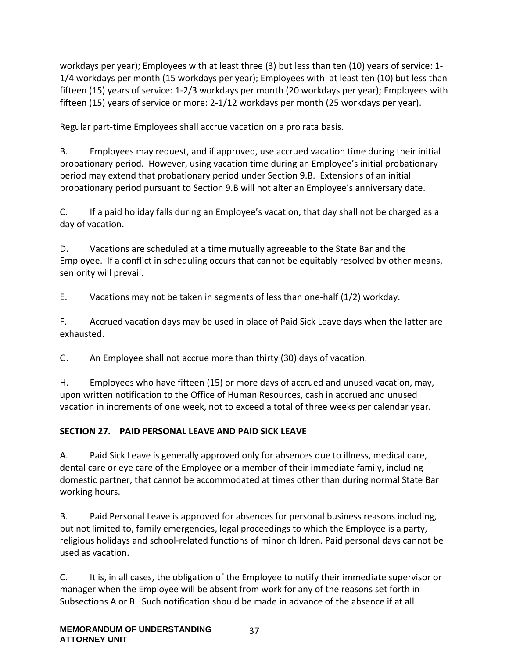workdays per year); Employees with at least three (3) but less than ten (10) years of service: 1- 1/4 workdays per month (15 workdays per year); Employees with at least ten (10) but less than fifteen (15) years of service: 1-2/3 workdays per month (20 workdays per year); Employees with fifteen (15) years of service or more: 2-1/12 workdays per month (25 workdays per year).

Regular part-time Employees shall accrue vacation on a pro rata basis.

B. Employees may request, and if approved, use accrued vacation time during their initial probationary period. However, using vacation time during an Employee's initial probationary period may extend that probationary period under Section 9.B. Extensions of an initial probationary period pursuant to Section 9.B will not alter an Employee's anniversary date.

C. If a paid holiday falls during an Employee's vacation, that day shall not be charged as a day of vacation.

D. Vacations are scheduled at a time mutually agreeable to the State Bar and the Employee. If a conflict in scheduling occurs that cannot be equitably resolved by other means, seniority will prevail.

E. Vacations may not be taken in segments of less than one-half (1/2) workday.

F. Accrued vacation days may be used in place of Paid Sick Leave days when the latter are exhausted.

G. An Employee shall not accrue more than thirty (30) days of vacation.

H. Employees who have fifteen (15) or more days of accrued and unused vacation, may, upon written notification to the Office of Human Resources, cash in accrued and unused vacation in increments of one week, not to exceed a total of three weeks per calendar year.

## **SECTION 27. PAID PERSONAL LEAVE AND PAID SICK LEAVE**

A. Paid Sick Leave is generally approved only for absences due to illness, medical care, dental care or eye care of the Employee or a member of their immediate family, including domestic partner, that cannot be accommodated at times other than during normal State Bar working hours.

B. Paid Personal Leave is approved for absences for personal business reasons including, but not limited to, family emergencies, legal proceedings to which the Employee is a party, religious holidays and school-related functions of minor children. Paid personal days cannot be used as vacation.

C. It is, in all cases, the obligation of the Employee to notify their immediate supervisor or manager when the Employee will be absent from work for any of the reasons set forth in Subsections A or B. Such notification should be made in advance of the absence if at all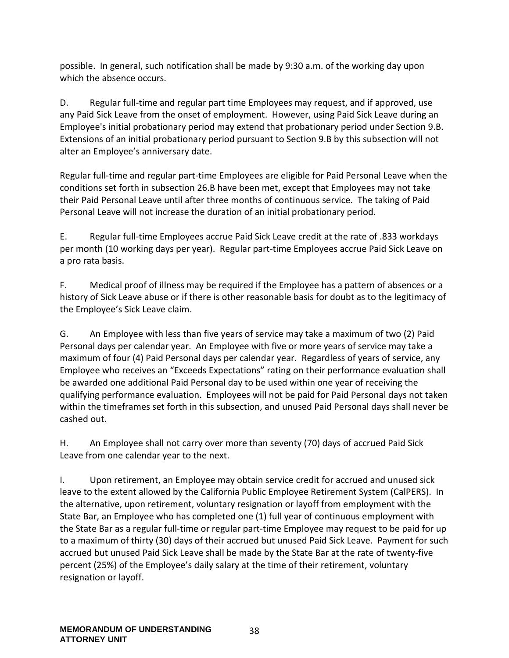possible. In general, such notification shall be made by 9:30 a.m. of the working day upon which the absence occurs.

D. Regular full-time and regular part time Employees may request, and if approved, use any Paid Sick Leave from the onset of employment. However, using Paid Sick Leave during an Employee's initial probationary period may extend that probationary period under Section 9.B. Extensions of an initial probationary period pursuant to Section 9.B by this subsection will not alter an Employee's anniversary date.

Regular full-time and regular part-time Employees are eligible for Paid Personal Leave when the conditions set forth in subsection 26.B have been met, except that Employees may not take their Paid Personal Leave until after three months of continuous service. The taking of Paid Personal Leave will not increase the duration of an initial probationary period.

E. Regular full-time Employees accrue Paid Sick Leave credit at the rate of .833 workdays per month (10 working days per year). Regular part-time Employees accrue Paid Sick Leave on a pro rata basis.

F. Medical proof of illness may be required if the Employee has a pattern of absences or a history of Sick Leave abuse or if there is other reasonable basis for doubt as to the legitimacy of the Employee's Sick Leave claim.

G. An Employee with less than five years of service may take a maximum of two (2) Paid Personal days per calendar year. An Employee with five or more years of service may take a maximum of four (4) Paid Personal days per calendar year. Regardless of years of service, any Employee who receives an "Exceeds Expectations" rating on their performance evaluation shall be awarded one additional Paid Personal day to be used within one year of receiving the qualifying performance evaluation. Employees will not be paid for Paid Personal days not taken within the timeframes set forth in this subsection, and unused Paid Personal days shall never be cashed out.

H. An Employee shall not carry over more than seventy (70) days of accrued Paid Sick Leave from one calendar year to the next.

I. Upon retirement, an Employee may obtain service credit for accrued and unused sick leave to the extent allowed by the California Public Employee Retirement System (CalPERS). In the alternative, upon retirement, voluntary resignation or layoff from employment with the State Bar, an Employee who has completed one (1) full year of continuous employment with the State Bar as a regular full-time or regular part-time Employee may request to be paid for up to a maximum of thirty (30) days of their accrued but unused Paid Sick Leave. Payment for such accrued but unused Paid Sick Leave shall be made by the State Bar at the rate of twenty-five percent (25%) of the Employee's daily salary at the time of their retirement, voluntary resignation or layoff.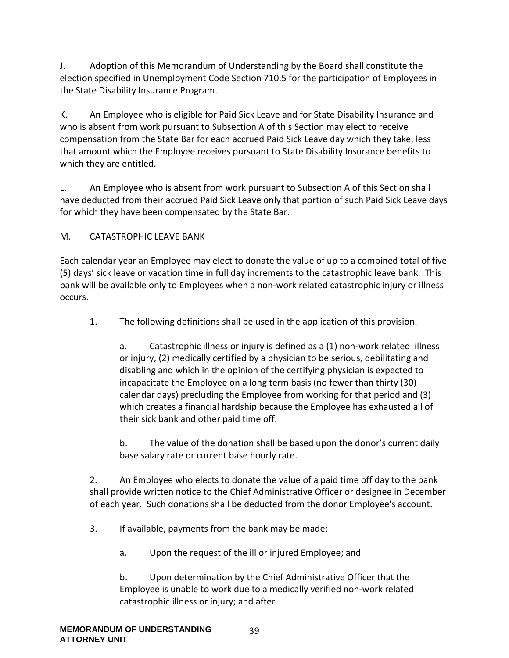J. Adoption of this Memorandum of Understanding by the Board shall constitute the election specified in Unemployment Code Section 710.5 for the participation of Employees in the State Disability Insurance Program.

K. An Employee who is eligible for Paid Sick Leave and for State Disability Insurance and who is absent from work pursuant to Subsection A of this Section may elect to receive compensation from the State Bar for each accrued Paid Sick Leave day which they take, less that amount which the Employee receives pursuant to State Disability Insurance benefits to which they are entitled.

L. An Employee who is absent from work pursuant to Subsection A of this Section shall have deducted from their accrued Paid Sick Leave only that portion of such Paid Sick Leave days for which they have been compensated by the State Bar.

## M. CATASTROPHIC LEAVE BANK

Each calendar year an Employee may elect to donate the value of up to a combined total of five (5) days' sick leave or vacation time in full day increments to the catastrophic leave bank. This bank will be available only to Employees when a non-work related catastrophic injury or illness occurs.

1. The following definitions shall be used in the application of this provision.

a. Catastrophic illness or injury is defined as a (1) non-work related illness or injury, (2) medically certified by a physician to be serious, debilitating and disabling and which in the opinion of the certifying physician is expected to incapacitate the Employee on a long term basis (no fewer than thirty (30) calendar days) precluding the Employee from working for that period and (3) which creates a financial hardship because the Employee has exhausted all of their sick bank and other paid time off.

b. The value of the donation shall be based upon the donor's current daily base salary rate or current base hourly rate.

2. An Employee who elects to donate the value of a paid time off day to the bank shall provide written notice to the Chief Administrative Officer or designee in December of each year. Such donations shall be deducted from the donor Employee's account.

- 3. If available, payments from the bank may be made:
	- a. Upon the request of the ill or injured Employee; and

b. Upon determination by the Chief Administrative Officer that the Employee is unable to work due to a medically verified non-work related catastrophic illness or injury; and after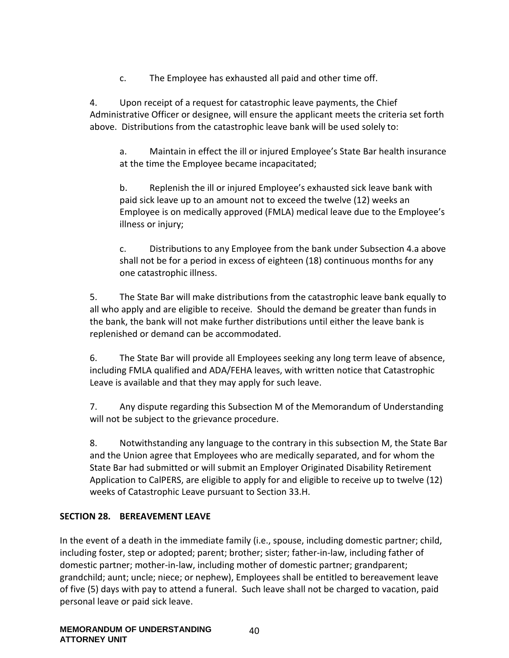c. The Employee has exhausted all paid and other time off.

4. Upon receipt of a request for catastrophic leave payments, the Chief Administrative Officer or designee, will ensure the applicant meets the criteria set forth above. Distributions from the catastrophic leave bank will be used solely to:

a. Maintain in effect the ill or injured Employee's State Bar health insurance at the time the Employee became incapacitated;

b. Replenish the ill or injured Employee's exhausted sick leave bank with paid sick leave up to an amount not to exceed the twelve (12) weeks an Employee is on medically approved (FMLA) medical leave due to the Employee's illness or injury;

c. Distributions to any Employee from the bank under Subsection 4.a above shall not be for a period in excess of eighteen (18) continuous months for any one catastrophic illness.

5. The State Bar will make distributions from the catastrophic leave bank equally to all who apply and are eligible to receive. Should the demand be greater than funds in the bank, the bank will not make further distributions until either the leave bank is replenished or demand can be accommodated.

6. The State Bar will provide all Employees seeking any long term leave of absence, including FMLA qualified and ADA/FEHA leaves, with written notice that Catastrophic Leave is available and that they may apply for such leave.

7. Any dispute regarding this Subsection M of the Memorandum of Understanding will not be subject to the grievance procedure.

8. Notwithstanding any language to the contrary in this subsection M, the State Bar and the Union agree that Employees who are medically separated, and for whom the State Bar had submitted or will submit an Employer Originated Disability Retirement Application to CalPERS, are eligible to apply for and eligible to receive up to twelve (12) weeks of Catastrophic Leave pursuant to Section 33.H.

### **SECTION 28. BEREAVEMENT LEAVE**

In the event of a death in the immediate family (i.e., spouse, including domestic partner; child, including foster, step or adopted; parent; brother; sister; father-in-law, including father of domestic partner; mother-in-law, including mother of domestic partner; grandparent; grandchild; aunt; uncle; niece; or nephew), Employees shall be entitled to bereavement leave of five (5) days with pay to attend a funeral. Such leave shall not be charged to vacation, paid personal leave or paid sick leave.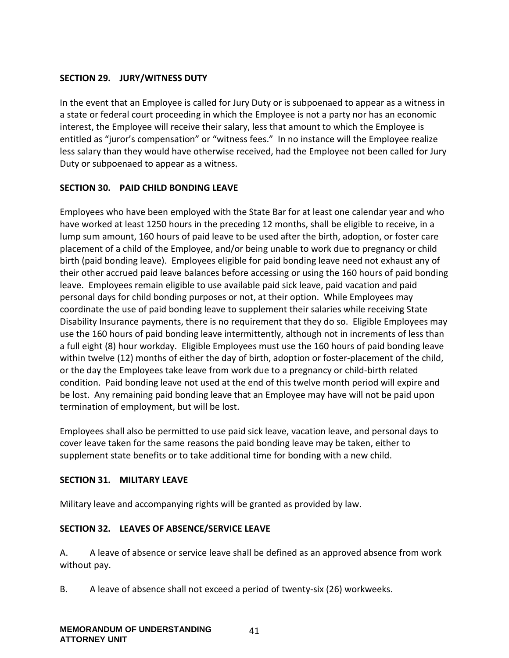### **SECTION 29. JURY/WITNESS DUTY**

In the event that an Employee is called for Jury Duty or is subpoenaed to appear as a witness in a state or federal court proceeding in which the Employee is not a party nor has an economic interest, the Employee will receive their salary, less that amount to which the Employee is entitled as "juror's compensation" or "witness fees." In no instance will the Employee realize less salary than they would have otherwise received, had the Employee not been called for Jury Duty or subpoenaed to appear as a witness.

### **SECTION 30. PAID CHILD BONDING LEAVE**

Employees who have been employed with the State Bar for at least one calendar year and who have worked at least 1250 hours in the preceding 12 months, shall be eligible to receive, in a lump sum amount, 160 hours of paid leave to be used after the birth, adoption, or foster care placement of a child of the Employee, and/or being unable to work due to pregnancy or child birth (paid bonding leave). Employees eligible for paid bonding leave need not exhaust any of their other accrued paid leave balances before accessing or using the 160 hours of paid bonding leave. Employees remain eligible to use available paid sick leave, paid vacation and paid personal days for child bonding purposes or not, at their option. While Employees may coordinate the use of paid bonding leave to supplement their salaries while receiving State Disability Insurance payments, there is no requirement that they do so. Eligible Employees may use the 160 hours of paid bonding leave intermittently, although not in increments of less than a full eight (8) hour workday. Eligible Employees must use the 160 hours of paid bonding leave within twelve (12) months of either the day of birth, adoption or foster-placement of the child, or the day the Employees take leave from work due to a pregnancy or child-birth related condition. Paid bonding leave not used at the end of this twelve month period will expire and be lost. Any remaining paid bonding leave that an Employee may have will not be paid upon termination of employment, but will be lost.

Employees shall also be permitted to use paid sick leave, vacation leave, and personal days to cover leave taken for the same reasons the paid bonding leave may be taken, either to supplement state benefits or to take additional time for bonding with a new child.

#### **SECTION 31. MILITARY LEAVE**

Military leave and accompanying rights will be granted as provided by law.

### **SECTION 32. LEAVES OF ABSENCE/SERVICE LEAVE**

A. A leave of absence or service leave shall be defined as an approved absence from work without pay.

B. A leave of absence shall not exceed a period of twenty-six (26) workweeks.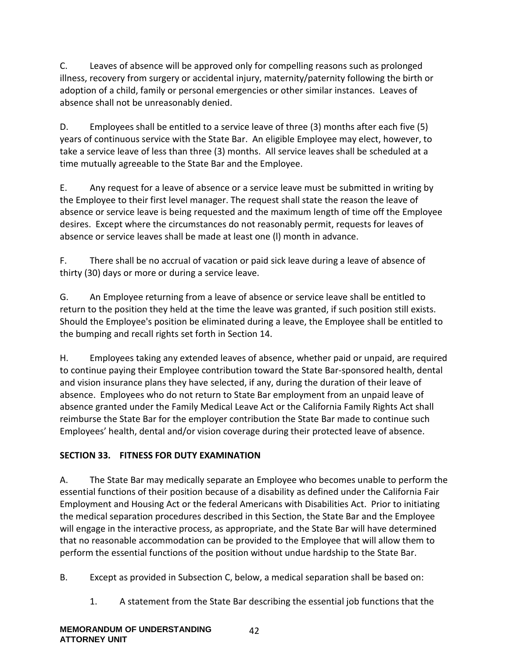C. Leaves of absence will be approved only for compelling reasons such as prolonged illness, recovery from surgery or accidental injury, maternity/paternity following the birth or adoption of a child, family or personal emergencies or other similar instances. Leaves of absence shall not be unreasonably denied.

D. Employees shall be entitled to a service leave of three (3) months after each five (5) years of continuous service with the State Bar. An eligible Employee may elect, however, to take a service leave of less than three (3) months. All service leaves shall be scheduled at a time mutually agreeable to the State Bar and the Employee.

E. Any request for a leave of absence or a service leave must be submitted in writing by the Employee to their first level manager. The request shall state the reason the leave of absence or service leave is being requested and the maximum length of time off the Employee desires. Except where the circumstances do not reasonably permit, requests for leaves of absence or service leaves shall be made at least one (l) month in advance.

F. There shall be no accrual of vacation or paid sick leave during a leave of absence of thirty (30) days or more or during a service leave.

G. An Employee returning from a leave of absence or service leave shall be entitled to return to the position they held at the time the leave was granted, if such position still exists. Should the Employee's position be eliminated during a leave, the Employee shall be entitled to the bumping and recall rights set forth in Section 14.

H. Employees taking any extended leaves of absence, whether paid or unpaid, are required to continue paying their Employee contribution toward the State Bar-sponsored health, dental and vision insurance plans they have selected, if any, during the duration of their leave of absence. Employees who do not return to State Bar employment from an unpaid leave of absence granted under the Family Medical Leave Act or the California Family Rights Act shall reimburse the State Bar for the employer contribution the State Bar made to continue such Employees' health, dental and/or vision coverage during their protected leave of absence.

## **SECTION 33. FITNESS FOR DUTY EXAMINATION**

A. The State Bar may medically separate an Employee who becomes unable to perform the essential functions of their position because of a disability as defined under the California Fair Employment and Housing Act or the federal Americans with Disabilities Act. Prior to initiating the medical separation procedures described in this Section, the State Bar and the Employee will engage in the interactive process, as appropriate, and the State Bar will have determined that no reasonable accommodation can be provided to the Employee that will allow them to perform the essential functions of the position without undue hardship to the State Bar.

B. Except as provided in Subsection C, below, a medical separation shall be based on:

1. A statement from the State Bar describing the essential job functions that the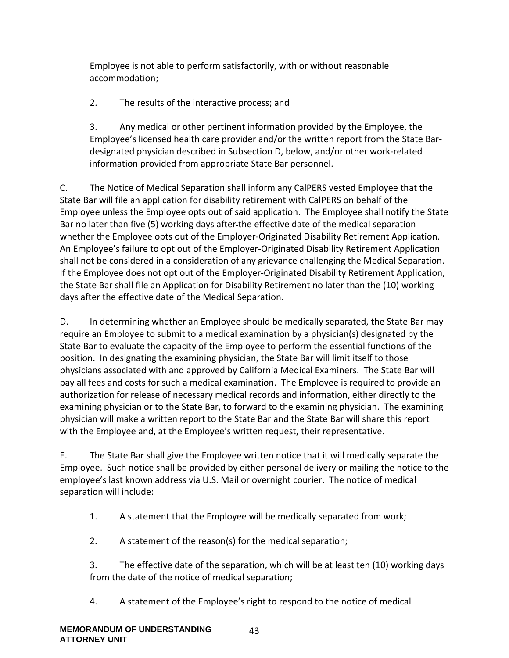Employee is not able to perform satisfactorily, with or without reasonable accommodation;

2. The results of the interactive process; and

3. Any medical or other pertinent information provided by the Employee, the Employee's licensed health care provider and/or the written report from the State Bardesignated physician described in Subsection D, below, and/or other work-related information provided from appropriate State Bar personnel.

C. The Notice of Medical Separation shall inform any CalPERS vested Employee that the State Bar will file an application for disability retirement with CalPERS on behalf of the Employee unless the Employee opts out of said application. The Employee shall notify the State Bar no later than five (5) working days after the effective date of the medical separation whether the Employee opts out of the Employer-Originated Disability Retirement Application. An Employee's failure to opt out of the Employer-Originated Disability Retirement Application shall not be considered in a consideration of any grievance challenging the Medical Separation. If the Employee does not opt out of the Employer-Originated Disability Retirement Application, the State Bar shall file an Application for Disability Retirement no later than the (10) working days after the effective date of the Medical Separation.

D. In determining whether an Employee should be medically separated, the State Bar may require an Employee to submit to a medical examination by a physician(s) designated by the State Bar to evaluate the capacity of the Employee to perform the essential functions of the position. In designating the examining physician, the State Bar will limit itself to those physicians associated with and approved by California Medical Examiners. The State Bar will pay all fees and costs for such a medical examination. The Employee is required to provide an authorization for release of necessary medical records and information, either directly to the examining physician or to the State Bar, to forward to the examining physician. The examining physician will make a written report to the State Bar and the State Bar will share this report with the Employee and, at the Employee's written request, their representative.

E. The State Bar shall give the Employee written notice that it will medically separate the Employee. Such notice shall be provided by either personal delivery or mailing the notice to the employee's last known address via U.S. Mail or overnight courier. The notice of medical separation will include:

- 1. A statement that the Employee will be medically separated from work;
- 2. A statement of the reason(s) for the medical separation;

3. The effective date of the separation, which will be at least ten (10) working days from the date of the notice of medical separation;

4. A statement of the Employee's right to respond to the notice of medical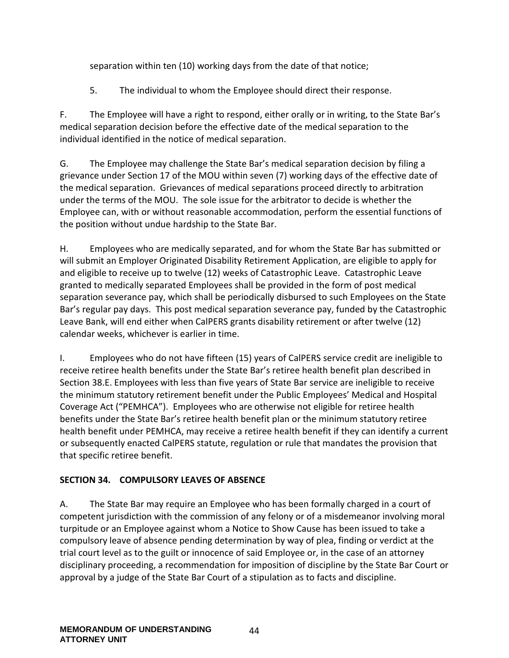separation within ten (10) working days from the date of that notice;

5. The individual to whom the Employee should direct their response.

F. The Employee will have a right to respond, either orally or in writing, to the State Bar's medical separation decision before the effective date of the medical separation to the individual identified in the notice of medical separation.

G. The Employee may challenge the State Bar's medical separation decision by filing a grievance under Section 17 of the MOU within seven (7) working days of the effective date of the medical separation. Grievances of medical separations proceed directly to arbitration under the terms of the MOU. The sole issue for the arbitrator to decide is whether the Employee can, with or without reasonable accommodation, perform the essential functions of the position without undue hardship to the State Bar.

H. Employees who are medically separated, and for whom the State Bar has submitted or will submit an Employer Originated Disability Retirement Application, are eligible to apply for and eligible to receive up to twelve (12) weeks of Catastrophic Leave. Catastrophic Leave granted to medically separated Employees shall be provided in the form of post medical separation severance pay, which shall be periodically disbursed to such Employees on the State Bar's regular pay days. This post medical separation severance pay, funded by the Catastrophic Leave Bank, will end either when CalPERS grants disability retirement or after twelve (12) calendar weeks, whichever is earlier in time.

I. Employees who do not have fifteen (15) years of CalPERS service credit are ineligible to receive retiree health benefits under the State Bar's retiree health benefit plan described in Section 38.E. Employees with less than five years of State Bar service are ineligible to receive the minimum statutory retirement benefit under the Public Employees' Medical and Hospital Coverage Act ("PEMHCA"). Employees who are otherwise not eligible for retiree health benefits under the State Bar's retiree health benefit plan or the minimum statutory retiree health benefit under PEMHCA, may receive a retiree health benefit if they can identify a current or subsequently enacted CalPERS statute, regulation or rule that mandates the provision that that specific retiree benefit.

## **SECTION 34. COMPULSORY LEAVES OF ABSENCE**

A. The State Bar may require an Employee who has been formally charged in a court of competent jurisdiction with the commission of any felony or of a misdemeanor involving moral turpitude or an Employee against whom a Notice to Show Cause has been issued to take a compulsory leave of absence pending determination by way of plea, finding or verdict at the trial court level as to the guilt or innocence of said Employee or, in the case of an attorney disciplinary proceeding, a recommendation for imposition of discipline by the State Bar Court or approval by a judge of the State Bar Court of a stipulation as to facts and discipline.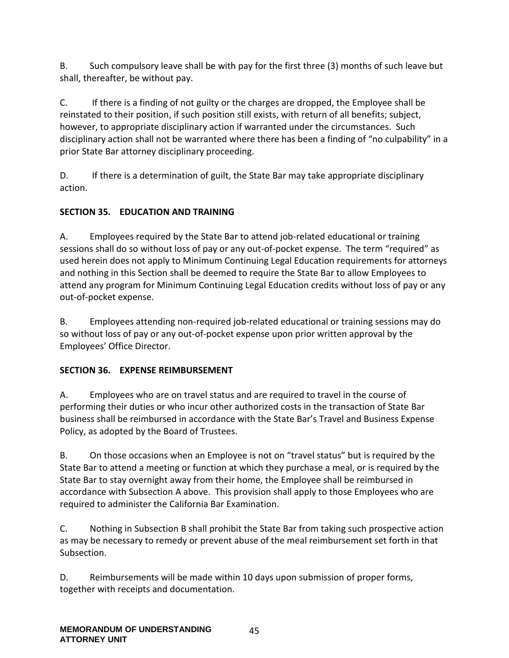B. Such compulsory leave shall be with pay for the first three (3) months of such leave but shall, thereafter, be without pay.

C. If there is a finding of not guilty or the charges are dropped, the Employee shall be reinstated to their position, if such position still exists, with return of all benefits; subject, however, to appropriate disciplinary action if warranted under the circumstances. Such disciplinary action shall not be warranted where there has been a finding of "no culpability" in a prior State Bar attorney disciplinary proceeding.

D. If there is a determination of guilt, the State Bar may take appropriate disciplinary action.

## **SECTION 35. EDUCATION AND TRAINING**

A. Employees required by the State Bar to attend job-related educational or training sessions shall do so without loss of pay or any out-of-pocket expense. The term "required" as used herein does not apply to Minimum Continuing Legal Education requirements for attorneys and nothing in this Section shall be deemed to require the State Bar to allow Employees to attend any program for Minimum Continuing Legal Education credits without loss of pay or any out-of-pocket expense.

B. Employees attending non-required job-related educational or training sessions may do so without loss of pay or any out-of-pocket expense upon prior written approval by the Employees' Office Director.

## **SECTION 36. EXPENSE REIMBURSEMENT**

A. Employees who are on travel status and are required to travel in the course of performing their duties or who incur other authorized costs in the transaction of State Bar business shall be reimbursed in accordance with the State Bar's Travel and Business Expense Policy, as adopted by the Board of Trustees.

B. On those occasions when an Employee is not on "travel status" but is required by the State Bar to attend a meeting or function at which they purchase a meal, or is required by the State Bar to stay overnight away from their home, the Employee shall be reimbursed in accordance with Subsection A above. This provision shall apply to those Employees who are required to administer the California Bar Examination.

C. Nothing in Subsection B shall prohibit the State Bar from taking such prospective action as may be necessary to remedy or prevent abuse of the meal reimbursement set forth in that Subsection.

D. Reimbursements will be made within 10 days upon submission of proper forms, together with receipts and documentation.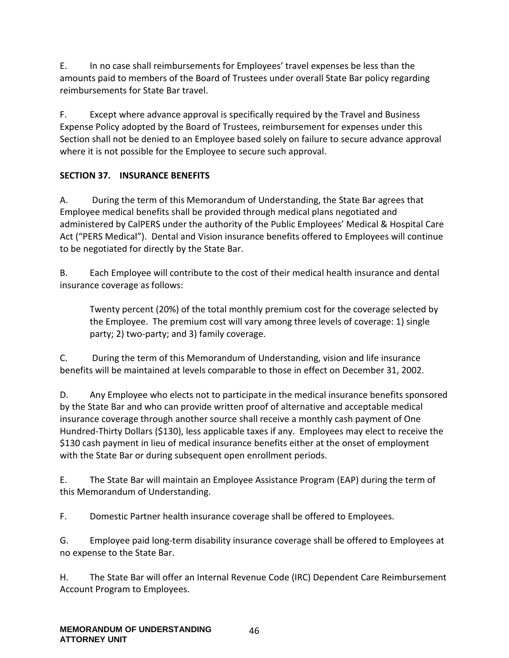E. In no case shall reimbursements for Employees' travel expenses be less than the amounts paid to members of the Board of Trustees under overall State Bar policy regarding reimbursements for State Bar travel.

F. Except where advance approval is specifically required by the Travel and Business Expense Policy adopted by the Board of Trustees, reimbursement for expenses under this Section shall not be denied to an Employee based solely on failure to secure advance approval where it is not possible for the Employee to secure such approval.

## **SECTION 37. INSURANCE BENEFITS**

A. During the term of this Memorandum of Understanding, the State Bar agrees that Employee medical benefits shall be provided through medical plans negotiated and administered by CalPERS under the authority of the Public Employees' Medical & Hospital Care Act ("PERS Medical"). Dental and Vision insurance benefits offered to Employees will continue to be negotiated for directly by the State Bar.

B. Each Employee will contribute to the cost of their medical health insurance and dental insurance coverage as follows:

Twenty percent (20%) of the total monthly premium cost for the coverage selected by the Employee. The premium cost will vary among three levels of coverage: 1) single party; 2) two-party; and 3) family coverage.

C. During the term of this Memorandum of Understanding, vision and life insurance benefits will be maintained at levels comparable to those in effect on December 31, 2002.

D. Any Employee who elects not to participate in the medical insurance benefits sponsored by the State Bar and who can provide written proof of alternative and acceptable medical insurance coverage through another source shall receive a monthly cash payment of One Hundred-Thirty Dollars (\$130), less applicable taxes if any. Employees may elect to receive the \$130 cash payment in lieu of medical insurance benefits either at the onset of employment with the State Bar or during subsequent open enrollment periods.

E. The State Bar will maintain an Employee Assistance Program (EAP) during the term of this Memorandum of Understanding.

F. Domestic Partner health insurance coverage shall be offered to Employees.

G. Employee paid long-term disability insurance coverage shall be offered to Employees at no expense to the State Bar.

H. The State Bar will offer an Internal Revenue Code (IRC) Dependent Care Reimbursement Account Program to Employees.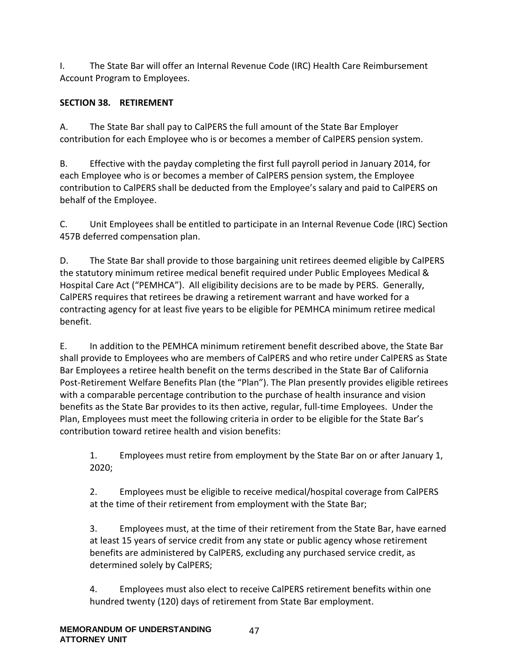I. The State Bar will offer an Internal Revenue Code (IRC) Health Care Reimbursement Account Program to Employees.

## **SECTION 38. RETIREMENT**

A. The State Bar shall pay to CalPERS the full amount of the State Bar Employer contribution for each Employee who is or becomes a member of CalPERS pension system.

B. Effective with the payday completing the first full payroll period in January 2014, for each Employee who is or becomes a member of CalPERS pension system, the Employee contribution to CalPERS shall be deducted from the Employee's salary and paid to CalPERS on behalf of the Employee.

C. Unit Employees shall be entitled to participate in an Internal Revenue Code (IRC) Section 457B deferred compensation plan.

D. The State Bar shall provide to those bargaining unit retirees deemed eligible by CalPERS the statutory minimum retiree medical benefit required under Public Employees Medical & Hospital Care Act ("PEMHCA"). All eligibility decisions are to be made by PERS. Generally, CalPERS requires that retirees be drawing a retirement warrant and have worked for a contracting agency for at least five years to be eligible for PEMHCA minimum retiree medical benefit.

E. In addition to the PEMHCA minimum retirement benefit described above, the State Bar shall provide to Employees who are members of CalPERS and who retire under CalPERS as State Bar Employees a retiree health benefit on the terms described in the State Bar of California Post-Retirement Welfare Benefits Plan (the "Plan"). The Plan presently provides eligible retirees with a comparable percentage contribution to the purchase of health insurance and vision benefits as the State Bar provides to its then active, regular, full-time Employees. Under the Plan, Employees must meet the following criteria in order to be eligible for the State Bar's contribution toward retiree health and vision benefits:

1. Employees must retire from employment by the State Bar on or after January 1, 2020;

2. Employees must be eligible to receive medical/hospital coverage from CalPERS at the time of their retirement from employment with the State Bar;

3. Employees must, at the time of their retirement from the State Bar, have earned at least 15 years of service credit from any state or public agency whose retirement benefits are administered by CalPERS, excluding any purchased service credit, as determined solely by CalPERS;

4. Employees must also elect to receive CalPERS retirement benefits within one hundred twenty (120) days of retirement from State Bar employment.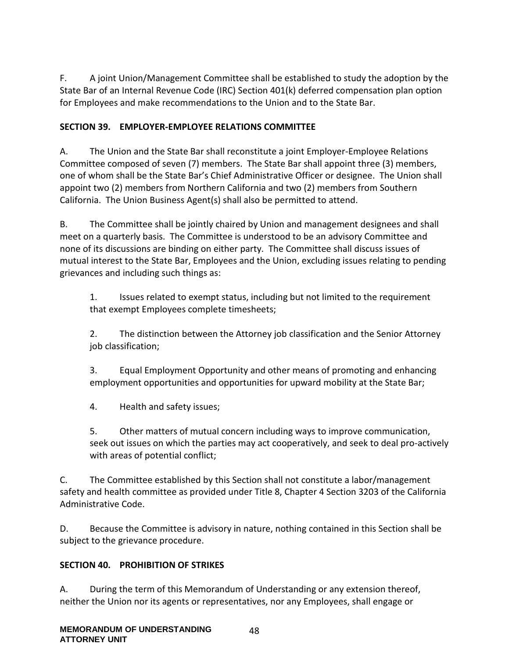F. A joint Union/Management Committee shall be established to study the adoption by the State Bar of an Internal Revenue Code (IRC) Section 401(k) deferred compensation plan option for Employees and make recommendations to the Union and to the State Bar.

### **SECTION 39. EMPLOYER-EMPLOYEE RELATIONS COMMITTEE**

A. The Union and the State Bar shall reconstitute a joint Employer-Employee Relations Committee composed of seven (7) members. The State Bar shall appoint three (3) members, one of whom shall be the State Bar's Chief Administrative Officer or designee. The Union shall appoint two (2) members from Northern California and two (2) members from Southern California. The Union Business Agent(s) shall also be permitted to attend.

B. The Committee shall be jointly chaired by Union and management designees and shall meet on a quarterly basis. The Committee is understood to be an advisory Committee and none of its discussions are binding on either party. The Committee shall discuss issues of mutual interest to the State Bar, Employees and the Union, excluding issues relating to pending grievances and including such things as:

1. Issues related to exempt status, including but not limited to the requirement that exempt Employees complete timesheets;

2. The distinction between the Attorney job classification and the Senior Attorney job classification;

3. Equal Employment Opportunity and other means of promoting and enhancing employment opportunities and opportunities for upward mobility at the State Bar;

4. Health and safety issues;

5. Other matters of mutual concern including ways to improve communication, seek out issues on which the parties may act cooperatively, and seek to deal pro-actively with areas of potential conflict;

C. The Committee established by this Section shall not constitute a labor/management safety and health committee as provided under Title 8, Chapter 4 Section 3203 of the California Administrative Code.

D. Because the Committee is advisory in nature, nothing contained in this Section shall be subject to the grievance procedure.

#### **SECTION 40. PROHIBITION OF STRIKES**

A. During the term of this Memorandum of Understanding or any extension thereof, neither the Union nor its agents or representatives, nor any Employees, shall engage or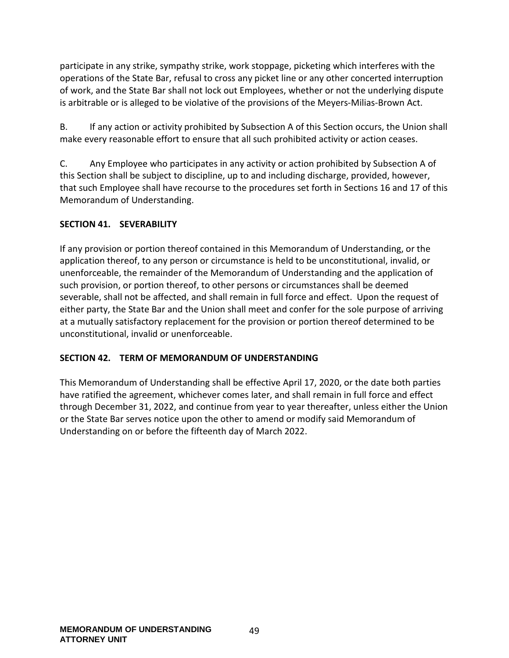participate in any strike, sympathy strike, work stoppage, picketing which interferes with the operations of the State Bar, refusal to cross any picket line or any other concerted interruption of work, and the State Bar shall not lock out Employees, whether or not the underlying dispute is arbitrable or is alleged to be violative of the provisions of the Meyers-Milias-Brown Act.

B. If any action or activity prohibited by Subsection A of this Section occurs, the Union shall make every reasonable effort to ensure that all such prohibited activity or action ceases.

C. Any Employee who participates in any activity or action prohibited by Subsection A of this Section shall be subject to discipline, up to and including discharge, provided, however, that such Employee shall have recourse to the procedures set forth in Sections 16 and 17 of this Memorandum of Understanding.

### **SECTION 41. SEVERABILITY**

If any provision or portion thereof contained in this Memorandum of Understanding, or the application thereof, to any person or circumstance is held to be unconstitutional, invalid, or unenforceable, the remainder of the Memorandum of Understanding and the application of such provision, or portion thereof, to other persons or circumstances shall be deemed severable, shall not be affected, and shall remain in full force and effect. Upon the request of either party, the State Bar and the Union shall meet and confer for the sole purpose of arriving at a mutually satisfactory replacement for the provision or portion thereof determined to be unconstitutional, invalid or unenforceable.

### **SECTION 42. TERM OF MEMORANDUM OF UNDERSTANDING**

This Memorandum of Understanding shall be effective April 17, 2020, or the date both parties have ratified the agreement, whichever comes later, and shall remain in full force and effect through December 31, 2022, and continue from year to year thereafter, unless either the Union or the State Bar serves notice upon the other to amend or modify said Memorandum of Understanding on or before the fifteenth day of March 2022.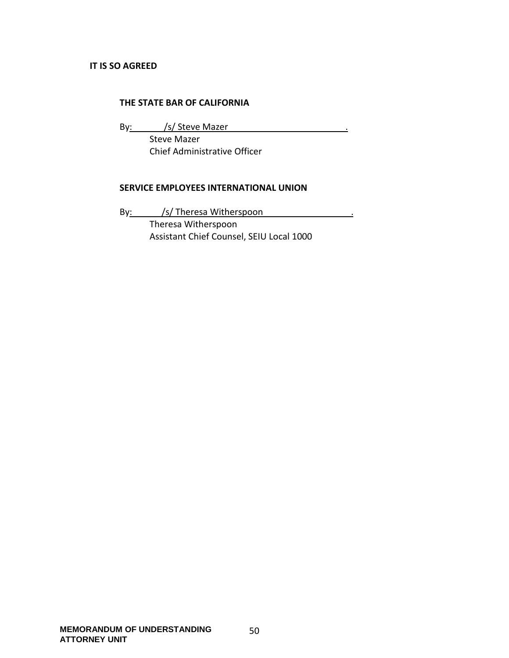#### **THE STATE BAR OF CALIFORNIA**

By: /s/ Steve Mazer . Steve Mazer Chief Administrative Officer

#### **SERVICE EMPLOYEES INTERNATIONAL UNION**

By: /s/ Theresa Witherspoon . Theresa Witherspoon Assistant Chief Counsel, SEIU Local 1000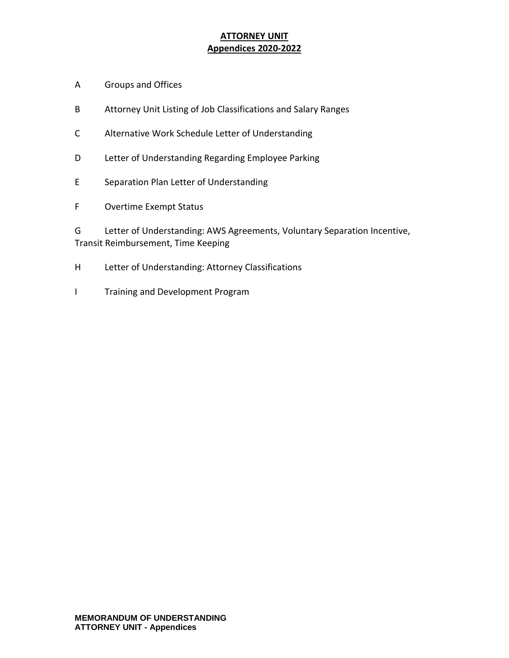## **ATTORNEY UNIT Appendices 2020-2022**

- A Groups and Offices
- B Attorney Unit Listing of Job Classifications and Salary Ranges
- C Alternative Work Schedule Letter of Understanding
- D Letter of Understanding Regarding Employee Parking
- E Separation Plan Letter of Understanding
- F Overtime Exempt Status

G Letter of Understanding: AWS Agreements, Voluntary Separation Incentive, Transit Reimbursement, Time Keeping

- H Letter of Understanding: Attorney Classifications
- I Training and Development Program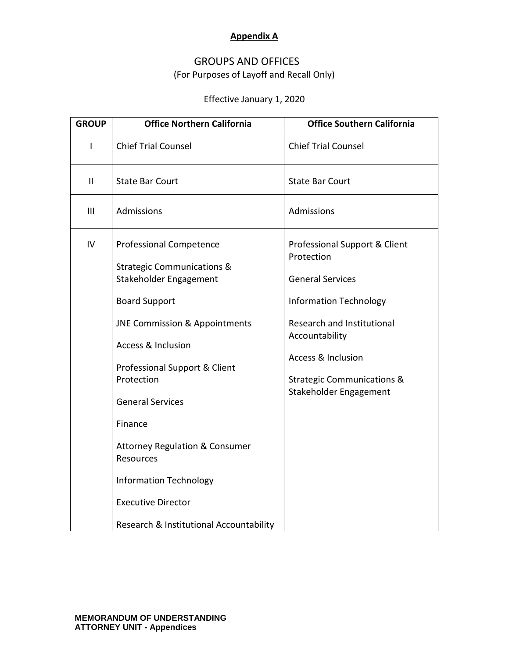### **Appendix A**

## GROUPS AND OFFICES (For Purposes of Layoff and Recall Only)

## Effective January 1, 2020

| <b>GROUP</b>  | <b>Office Northern California</b>                                                                                                                                                                                                                                                                                                                                                                                   | <b>Office Southern California</b>                                                                                                                                                                                                                           |
|---------------|---------------------------------------------------------------------------------------------------------------------------------------------------------------------------------------------------------------------------------------------------------------------------------------------------------------------------------------------------------------------------------------------------------------------|-------------------------------------------------------------------------------------------------------------------------------------------------------------------------------------------------------------------------------------------------------------|
| L             | <b>Chief Trial Counsel</b>                                                                                                                                                                                                                                                                                                                                                                                          | <b>Chief Trial Counsel</b>                                                                                                                                                                                                                                  |
| $\mathbf{II}$ | <b>State Bar Court</b>                                                                                                                                                                                                                                                                                                                                                                                              | <b>State Bar Court</b>                                                                                                                                                                                                                                      |
| III           | Admissions                                                                                                                                                                                                                                                                                                                                                                                                          | Admissions                                                                                                                                                                                                                                                  |
| IV            | <b>Professional Competence</b><br><b>Strategic Communications &amp;</b><br>Stakeholder Engagement<br><b>Board Support</b><br><b>JNE Commission &amp; Appointments</b><br><b>Access &amp; Inclusion</b><br>Professional Support & Client<br>Protection<br><b>General Services</b><br>Finance<br><b>Attorney Regulation &amp; Consumer</b><br>Resources<br><b>Information Technology</b><br><b>Executive Director</b> | Professional Support & Client<br>Protection<br><b>General Services</b><br><b>Information Technology</b><br>Research and Institutional<br>Accountability<br><b>Access &amp; Inclusion</b><br><b>Strategic Communications &amp;</b><br>Stakeholder Engagement |
|               | Research & Institutional Accountability                                                                                                                                                                                                                                                                                                                                                                             |                                                                                                                                                                                                                                                             |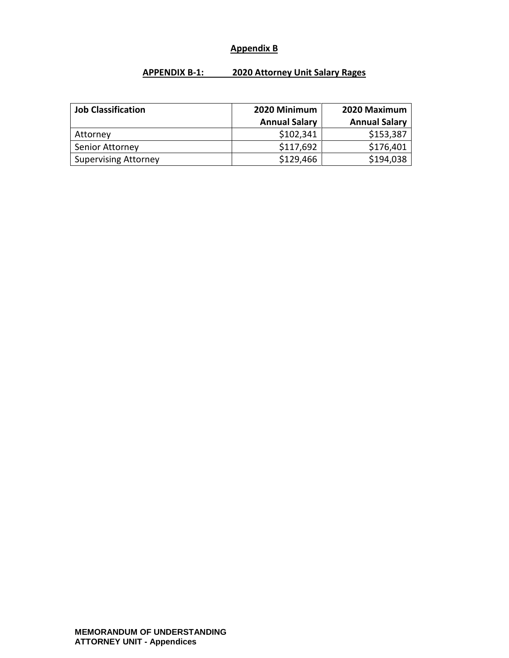### **Appendix B**

### **APPENDIX B-1: 2020 Attorney Unit Salary Rages**

| <b>Job Classification</b>   | 2020 Minimum         | 2020 Maximum         |
|-----------------------------|----------------------|----------------------|
|                             | <b>Annual Salary</b> | <b>Annual Salary</b> |
| Attorney                    | \$102,341            | \$153,387            |
| Senior Attorney             | \$117,692            | \$176,401            |
| <b>Supervising Attorney</b> | \$129,466            | \$194,038            |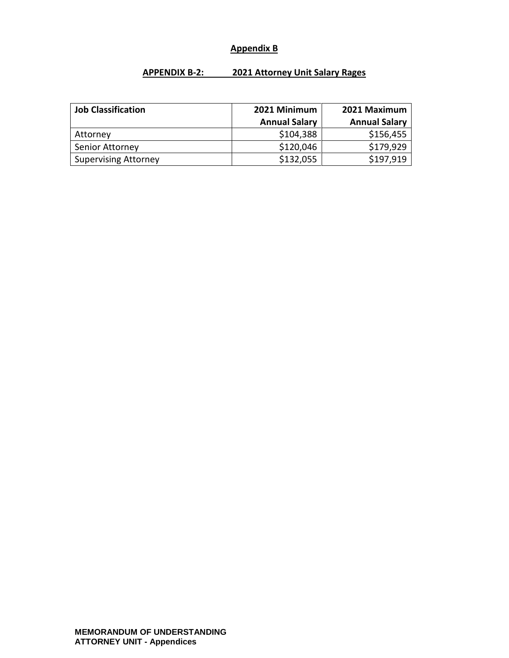### **Appendix B**

#### **APPENDIX B-2: 2021 Attorney Unit Salary Rages**

| <b>Job Classification</b>   | 2021 Minimum         | 2021 Maximum         |
|-----------------------------|----------------------|----------------------|
|                             | <b>Annual Salary</b> | <b>Annual Salary</b> |
| Attorney                    | \$104,388            | \$156,455            |
| Senior Attorney             | \$120,046            | \$179,929            |
| <b>Supervising Attorney</b> | \$132,055            | \$197,919            |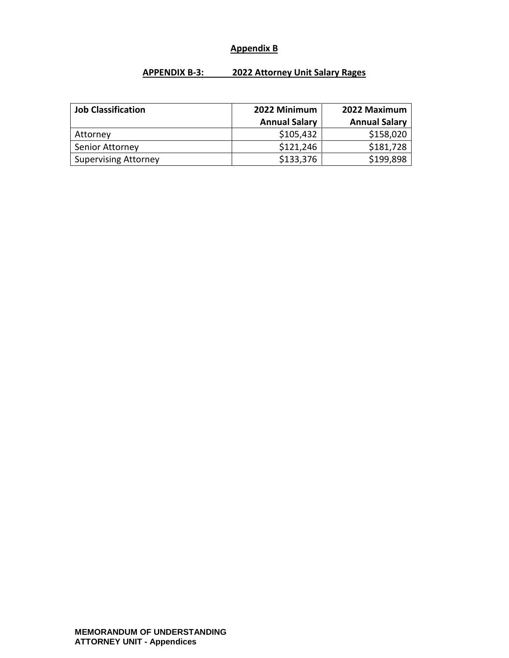### **Appendix B**

#### **APPENDIX B-3: 2022 Attorney Unit Salary Rages**

| <b>Job Classification</b>   | 2022 Minimum         | 2022 Maximum         |
|-----------------------------|----------------------|----------------------|
|                             | <b>Annual Salary</b> | <b>Annual Salary</b> |
| Attorney                    | \$105,432            | \$158,020            |
| Senior Attorney             | \$121,246            | \$181,728            |
| <b>Supervising Attorney</b> | \$133,376            | \$199,898            |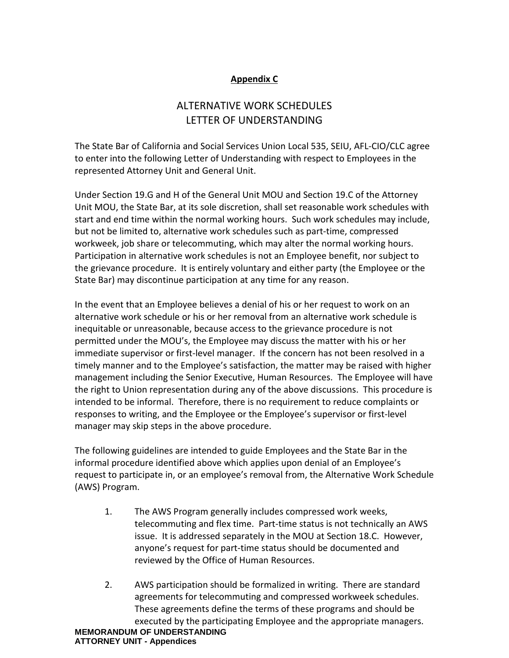### **Appendix C**

# ALTERNATIVE WORK SCHEDULES LETTER OF UNDERSTANDING

The State Bar of California and Social Services Union Local 535, SEIU, AFL-CIO/CLC agree to enter into the following Letter of Understanding with respect to Employees in the represented Attorney Unit and General Unit.

Under Section 19.G and H of the General Unit MOU and Section 19.C of the Attorney Unit MOU, the State Bar, at its sole discretion, shall set reasonable work schedules with start and end time within the normal working hours. Such work schedules may include, but not be limited to, alternative work schedules such as part-time, compressed workweek, job share or telecommuting, which may alter the normal working hours. Participation in alternative work schedules is not an Employee benefit, nor subject to the grievance procedure. It is entirely voluntary and either party (the Employee or the State Bar) may discontinue participation at any time for any reason.

In the event that an Employee believes a denial of his or her request to work on an alternative work schedule or his or her removal from an alternative work schedule is inequitable or unreasonable, because access to the grievance procedure is not permitted under the MOU's, the Employee may discuss the matter with his or her immediate supervisor or first-level manager. If the concern has not been resolved in a timely manner and to the Employee's satisfaction, the matter may be raised with higher management including the Senior Executive, Human Resources. The Employee will have the right to Union representation during any of the above discussions. This procedure is intended to be informal. Therefore, there is no requirement to reduce complaints or responses to writing, and the Employee or the Employee's supervisor or first-level manager may skip steps in the above procedure.

The following guidelines are intended to guide Employees and the State Bar in the informal procedure identified above which applies upon denial of an Employee's request to participate in, or an employee's removal from, the Alternative Work Schedule (AWS) Program.

- 1. The AWS Program generally includes compressed work weeks, telecommuting and flex time. Part-time status is not technically an AWS issue. It is addressed separately in the MOU at Section 18.C. However, anyone's request for part-time status should be documented and reviewed by the Office of Human Resources.
- **MEMORANDUM OF UNDERSTANDING ATTORNEY UNIT - Appendices** 2. AWS participation should be formalized in writing. There are standard agreements for telecommuting and compressed workweek schedules. These agreements define the terms of these programs and should be executed by the participating Employee and the appropriate managers.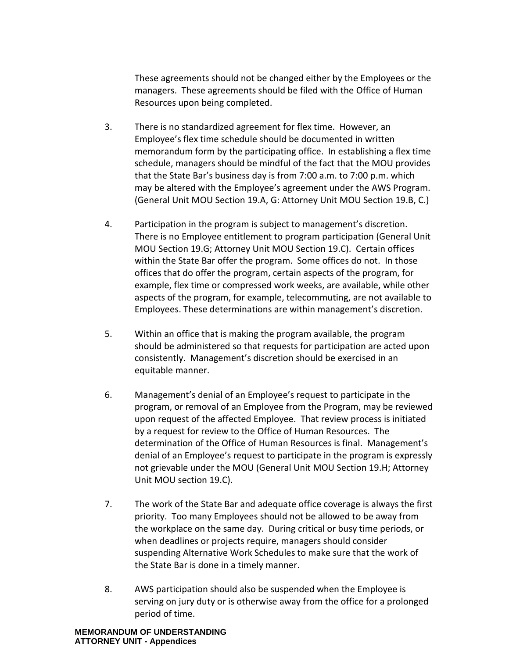These agreements should not be changed either by the Employees or the managers. These agreements should be filed with the Office of Human Resources upon being completed.

- 3. There is no standardized agreement for flex time. However, an Employee's flex time schedule should be documented in written memorandum form by the participating office. In establishing a flex time schedule, managers should be mindful of the fact that the MOU provides that the State Bar's business day is from 7:00 a.m. to 7:00 p.m. which may be altered with the Employee's agreement under the AWS Program. (General Unit MOU Section 19.A, G: Attorney Unit MOU Section 19.B, C.)
- 4. Participation in the program is subject to management's discretion. There is no Employee entitlement to program participation (General Unit MOU Section 19.G; Attorney Unit MOU Section 19.C). Certain offices within the State Bar offer the program. Some offices do not. In those offices that do offer the program, certain aspects of the program, for example, flex time or compressed work weeks, are available, while other aspects of the program, for example, telecommuting, are not available to Employees. These determinations are within management's discretion.
- 5. Within an office that is making the program available, the program should be administered so that requests for participation are acted upon consistently. Management's discretion should be exercised in an equitable manner.
- 6. Management's denial of an Employee's request to participate in the program, or removal of an Employee from the Program, may be reviewed upon request of the affected Employee. That review process is initiated by a request for review to the Office of Human Resources. The determination of the Office of Human Resources is final. Management's denial of an Employee's request to participate in the program is expressly not grievable under the MOU (General Unit MOU Section 19.H; Attorney Unit MOU section 19.C).
- 7. The work of the State Bar and adequate office coverage is always the first priority. Too many Employees should not be allowed to be away from the workplace on the same day. During critical or busy time periods, or when deadlines or projects require, managers should consider suspending Alternative Work Schedules to make sure that the work of the State Bar is done in a timely manner.
- 8. AWS participation should also be suspended when the Employee is serving on jury duty or is otherwise away from the office for a prolonged period of time.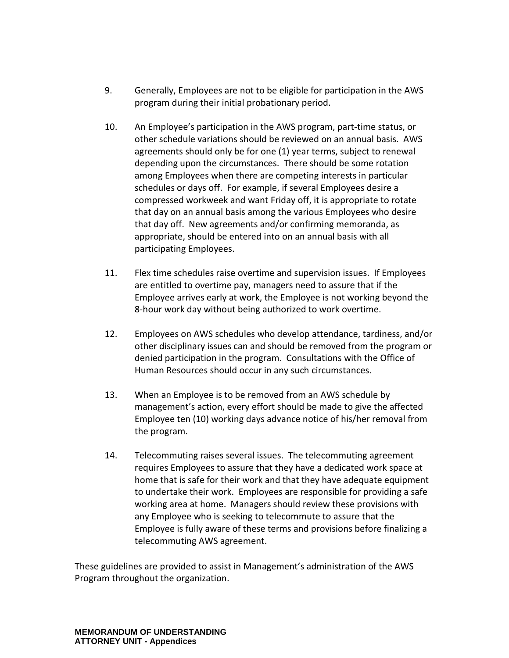- 9. Generally, Employees are not to be eligible for participation in the AWS program during their initial probationary period.
- 10. An Employee's participation in the AWS program, part-time status, or other schedule variations should be reviewed on an annual basis. AWS agreements should only be for one (1) year terms, subject to renewal depending upon the circumstances. There should be some rotation among Employees when there are competing interests in particular schedules or days off. For example, if several Employees desire a compressed workweek and want Friday off, it is appropriate to rotate that day on an annual basis among the various Employees who desire that day off. New agreements and/or confirming memoranda, as appropriate, should be entered into on an annual basis with all participating Employees.
- 11. Flex time schedules raise overtime and supervision issues. If Employees are entitled to overtime pay, managers need to assure that if the Employee arrives early at work, the Employee is not working beyond the 8-hour work day without being authorized to work overtime.
- 12. Employees on AWS schedules who develop attendance, tardiness, and/or other disciplinary issues can and should be removed from the program or denied participation in the program. Consultations with the Office of Human Resources should occur in any such circumstances.
- 13. When an Employee is to be removed from an AWS schedule by management's action, every effort should be made to give the affected Employee ten (10) working days advance notice of his/her removal from the program.
- 14. Telecommuting raises several issues. The telecommuting agreement requires Employees to assure that they have a dedicated work space at home that is safe for their work and that they have adequate equipment to undertake their work. Employees are responsible for providing a safe working area at home. Managers should review these provisions with any Employee who is seeking to telecommute to assure that the Employee is fully aware of these terms and provisions before finalizing a telecommuting AWS agreement.

These guidelines are provided to assist in Management's administration of the AWS Program throughout the organization.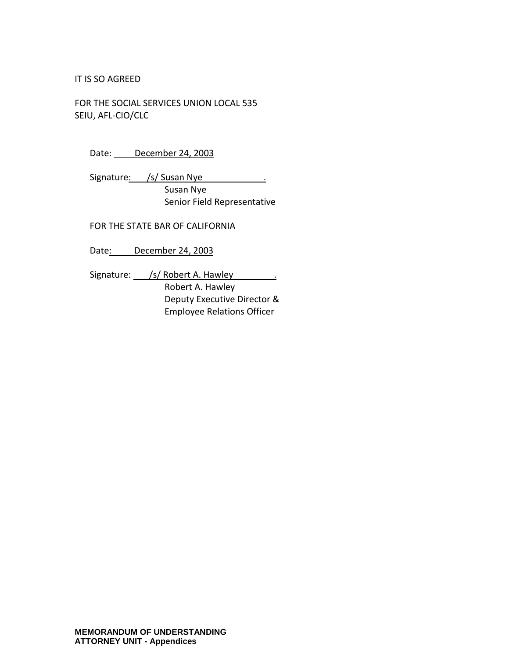#### IT IS SO AGREED

FOR THE SOCIAL SERVICES UNION LOCAL 535 SEIU, AFL-CIO/CLC

| Date: | December 24, 2003 |  |
|-------|-------------------|--|
|       |                   |  |

Signature: /s/ Susan Nye . Susan Nye Senior Field Representative

FOR THE STATE BAR OF CALIFORNIA

Date: December 24, 2003

Signature: /s/ Robert A. Hawley .

Robert A. Hawley Deputy Executive Director & Employee Relations Officer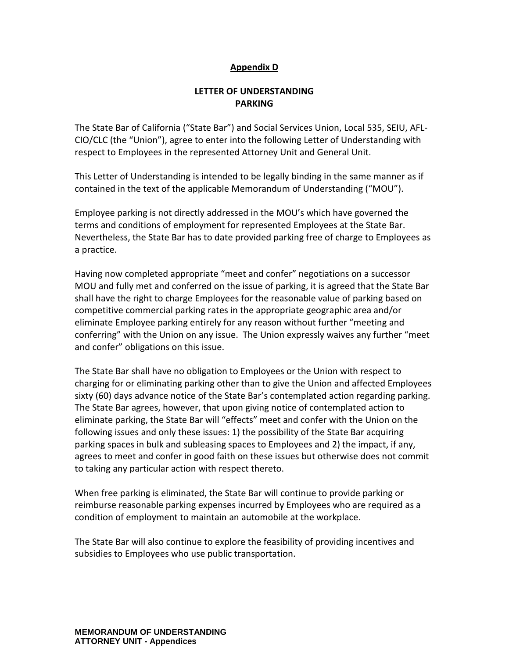#### **Appendix D**

#### **LETTER OF UNDERSTANDING PARKING**

The State Bar of California ("State Bar") and Social Services Union, Local 535, SEIU, AFL-CIO/CLC (the "Union"), agree to enter into the following Letter of Understanding with respect to Employees in the represented Attorney Unit and General Unit.

This Letter of Understanding is intended to be legally binding in the same manner as if contained in the text of the applicable Memorandum of Understanding ("MOU").

Employee parking is not directly addressed in the MOU's which have governed the terms and conditions of employment for represented Employees at the State Bar. Nevertheless, the State Bar has to date provided parking free of charge to Employees as a practice.

Having now completed appropriate "meet and confer" negotiations on a successor MOU and fully met and conferred on the issue of parking, it is agreed that the State Bar shall have the right to charge Employees for the reasonable value of parking based on competitive commercial parking rates in the appropriate geographic area and/or eliminate Employee parking entirely for any reason without further "meeting and conferring" with the Union on any issue. The Union expressly waives any further "meet and confer" obligations on this issue.

The State Bar shall have no obligation to Employees or the Union with respect to charging for or eliminating parking other than to give the Union and affected Employees sixty (60) days advance notice of the State Bar's contemplated action regarding parking. The State Bar agrees, however, that upon giving notice of contemplated action to eliminate parking, the State Bar will "effects" meet and confer with the Union on the following issues and only these issues: 1) the possibility of the State Bar acquiring parking spaces in bulk and subleasing spaces to Employees and 2) the impact, if any, agrees to meet and confer in good faith on these issues but otherwise does not commit to taking any particular action with respect thereto.

When free parking is eliminated, the State Bar will continue to provide parking or reimburse reasonable parking expenses incurred by Employees who are required as a condition of employment to maintain an automobile at the workplace.

The State Bar will also continue to explore the feasibility of providing incentives and subsidies to Employees who use public transportation.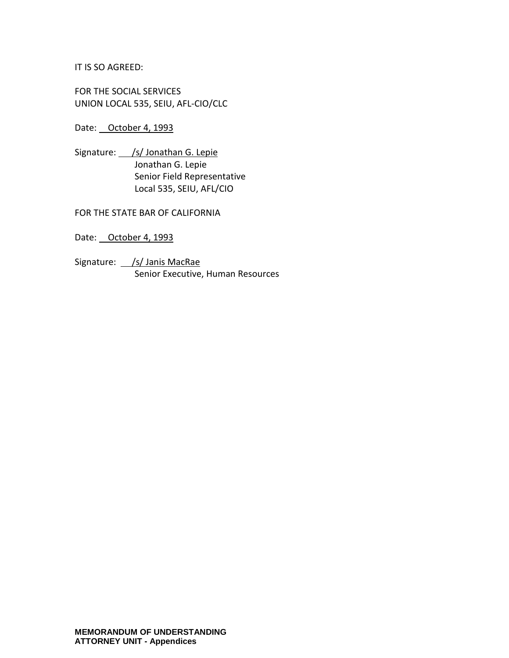IT IS SO AGREED:

FOR THE SOCIAL SERVICES UNION LOCAL 535, SEIU, AFL-CIO/CLC

Date: October 4, 1993

Signature: /s/ Jonathan G. Lepie Jonathan G. Lepie Senior Field Representative Local 535, SEIU, AFL/CIO

FOR THE STATE BAR OF CALIFORNIA

Date: October 4, 1993

Signature: /s/ Janis MacRae Senior Executive, Human Resources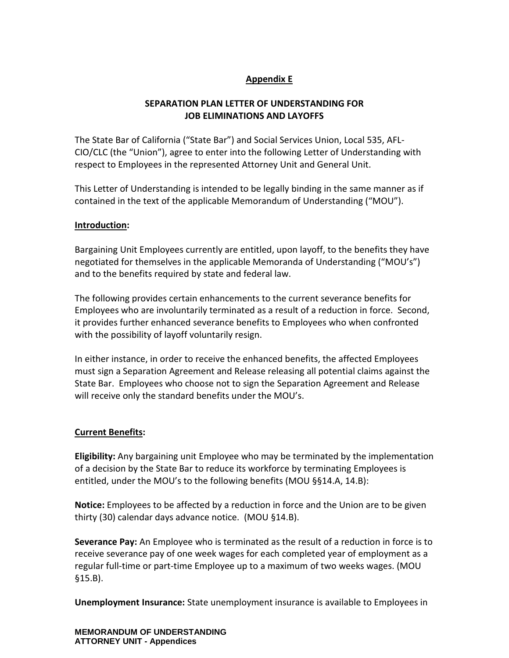### **Appendix E**

### **SEPARATION PLAN LETTER OF UNDERSTANDING FOR JOB ELIMINATIONS AND LAYOFFS**

The State Bar of California ("State Bar") and Social Services Union, Local 535, AFL-CIO/CLC (the "Union"), agree to enter into the following Letter of Understanding with respect to Employees in the represented Attorney Unit and General Unit.

This Letter of Understanding is intended to be legally binding in the same manner as if contained in the text of the applicable Memorandum of Understanding ("MOU").

#### **Introduction:**

Bargaining Unit Employees currently are entitled, upon layoff, to the benefits they have negotiated for themselves in the applicable Memoranda of Understanding ("MOU's") and to the benefits required by state and federal law.

The following provides certain enhancements to the current severance benefits for Employees who are involuntarily terminated as a result of a reduction in force. Second, it provides further enhanced severance benefits to Employees who when confronted with the possibility of layoff voluntarily resign.

In either instance, in order to receive the enhanced benefits, the affected Employees must sign a Separation Agreement and Release releasing all potential claims against the State Bar. Employees who choose not to sign the Separation Agreement and Release will receive only the standard benefits under the MOU's.

#### **Current Benefits:**

**Eligibility:** Any bargaining unit Employee who may be terminated by the implementation of a decision by the State Bar to reduce its workforce by terminating Employees is entitled, under the MOU's to the following benefits (MOU §§14.A, 14.B):

**Notice:** Employees to be affected by a reduction in force and the Union are to be given thirty (30) calendar days advance notice. (MOU §14.B).

**Severance Pay:** An Employee who is terminated as the result of a reduction in force is to receive severance pay of one week wages for each completed year of employment as a regular full-time or part-time Employee up to a maximum of two weeks wages. (MOU §15.B).

**Unemployment Insurance:** State unemployment insurance is available to Employees in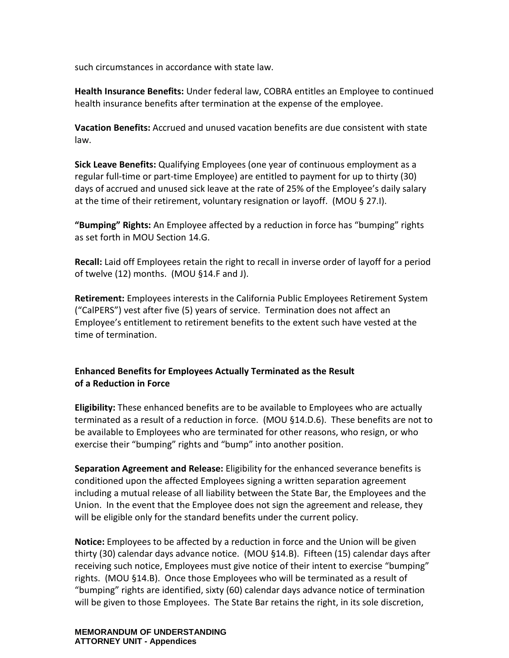such circumstances in accordance with state law.

**Health Insurance Benefits:** Under federal law, COBRA entitles an Employee to continued health insurance benefits after termination at the expense of the employee.

**Vacation Benefits:** Accrued and unused vacation benefits are due consistent with state law.

**Sick Leave Benefits:** Qualifying Employees (one year of continuous employment as a regular full-time or part-time Employee) are entitled to payment for up to thirty (30) days of accrued and unused sick leave at the rate of 25% of the Employee's daily salary at the time of their retirement, voluntary resignation or layoff. (MOU § 27.I).

**"Bumping" Rights:** An Employee affected by a reduction in force has "bumping" rights as set forth in MOU Section 14.G.

**Recall:** Laid off Employees retain the right to recall in inverse order of layoff for a period of twelve (12) months. (MOU §14.F and J).

**Retirement:** Employees interests in the California Public Employees Retirement System ("CalPERS") vest after five (5) years of service. Termination does not affect an Employee's entitlement to retirement benefits to the extent such have vested at the time of termination.

#### **Enhanced Benefits for Employees Actually Terminated as the Result of a Reduction in Force**

**Eligibility:** These enhanced benefits are to be available to Employees who are actually terminated as a result of a reduction in force. (MOU §14.D.6). These benefits are not to be available to Employees who are terminated for other reasons, who resign, or who exercise their "bumping" rights and "bump" into another position.

**Separation Agreement and Release:** Eligibility for the enhanced severance benefits is conditioned upon the affected Employees signing a written separation agreement including a mutual release of all liability between the State Bar, the Employees and the Union. In the event that the Employee does not sign the agreement and release, they will be eligible only for the standard benefits under the current policy.

**Notice:** Employees to be affected by a reduction in force and the Union will be given thirty (30) calendar days advance notice. (MOU §14.B). Fifteen (15) calendar days after receiving such notice, Employees must give notice of their intent to exercise "bumping" rights. (MOU §14.B). Once those Employees who will be terminated as a result of "bumping" rights are identified, sixty (60) calendar days advance notice of termination will be given to those Employees. The State Bar retains the right, in its sole discretion,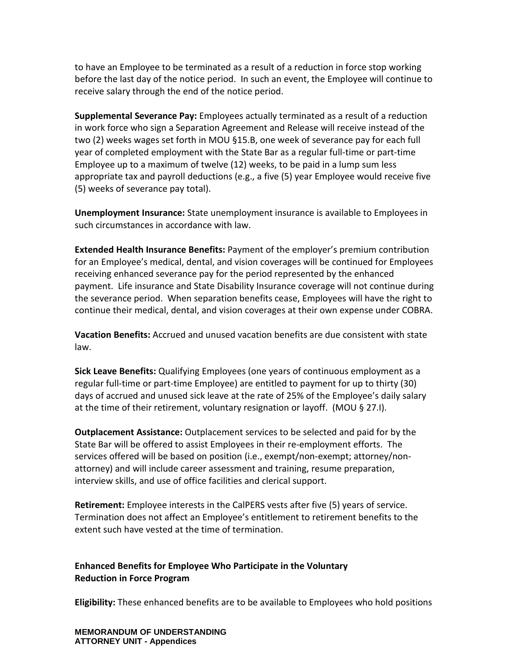to have an Employee to be terminated as a result of a reduction in force stop working before the last day of the notice period. In such an event, the Employee will continue to receive salary through the end of the notice period.

**Supplemental Severance Pay:** Employees actually terminated as a result of a reduction in work force who sign a Separation Agreement and Release will receive instead of the two (2) weeks wages set forth in MOU §15.B, one week of severance pay for each full year of completed employment with the State Bar as a regular full-time or part-time Employee up to a maximum of twelve (12) weeks, to be paid in a lump sum less appropriate tax and payroll deductions (e.g., a five (5) year Employee would receive five (5) weeks of severance pay total).

**Unemployment Insurance:** State unemployment insurance is available to Employees in such circumstances in accordance with law.

**Extended Health Insurance Benefits:** Payment of the employer's premium contribution for an Employee's medical, dental, and vision coverages will be continued for Employees receiving enhanced severance pay for the period represented by the enhanced payment. Life insurance and State Disability Insurance coverage will not continue during the severance period. When separation benefits cease, Employees will have the right to continue their medical, dental, and vision coverages at their own expense under COBRA.

**Vacation Benefits:** Accrued and unused vacation benefits are due consistent with state law.

**Sick Leave Benefits:** Qualifying Employees (one years of continuous employment as a regular full-time or part-time Employee) are entitled to payment for up to thirty (30) days of accrued and unused sick leave at the rate of 25% of the Employee's daily salary at the time of their retirement, voluntary resignation or layoff. (MOU § 27.I).

**Outplacement Assistance:** Outplacement services to be selected and paid for by the State Bar will be offered to assist Employees in their re-employment efforts. The services offered will be based on position (i.e., exempt/non-exempt; attorney/nonattorney) and will include career assessment and training, resume preparation, interview skills, and use of office facilities and clerical support.

**Retirement:** Employee interests in the CalPERS vests after five (5) years of service. Termination does not affect an Employee's entitlement to retirement benefits to the extent such have vested at the time of termination.

#### **Enhanced Benefits for Employee Who Participate in the Voluntary Reduction in Force Program**

**Eligibility:** These enhanced benefits are to be available to Employees who hold positions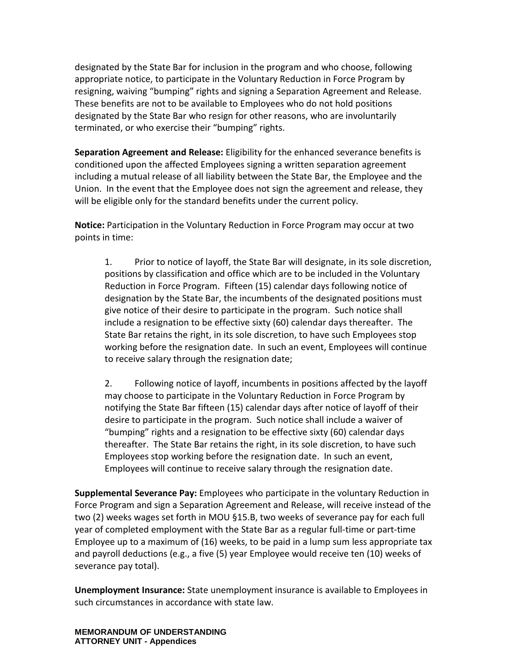designated by the State Bar for inclusion in the program and who choose, following appropriate notice, to participate in the Voluntary Reduction in Force Program by resigning, waiving "bumping" rights and signing a Separation Agreement and Release. These benefits are not to be available to Employees who do not hold positions designated by the State Bar who resign for other reasons, who are involuntarily terminated, or who exercise their "bumping" rights.

**Separation Agreement and Release:** Eligibility for the enhanced severance benefits is conditioned upon the affected Employees signing a written separation agreement including a mutual release of all liability between the State Bar, the Employee and the Union. In the event that the Employee does not sign the agreement and release, they will be eligible only for the standard benefits under the current policy.

**Notice:** Participation in the Voluntary Reduction in Force Program may occur at two points in time:

1. Prior to notice of layoff, the State Bar will designate, in its sole discretion, positions by classification and office which are to be included in the Voluntary Reduction in Force Program. Fifteen (15) calendar days following notice of designation by the State Bar, the incumbents of the designated positions must give notice of their desire to participate in the program. Such notice shall include a resignation to be effective sixty (60) calendar days thereafter. The State Bar retains the right, in its sole discretion, to have such Employees stop working before the resignation date. In such an event, Employees will continue to receive salary through the resignation date;

2. Following notice of layoff, incumbents in positions affected by the layoff may choose to participate in the Voluntary Reduction in Force Program by notifying the State Bar fifteen (15) calendar days after notice of layoff of their desire to participate in the program. Such notice shall include a waiver of "bumping" rights and a resignation to be effective sixty (60) calendar days thereafter. The State Bar retains the right, in its sole discretion, to have such Employees stop working before the resignation date. In such an event, Employees will continue to receive salary through the resignation date.

**Supplemental Severance Pay:** Employees who participate in the voluntary Reduction in Force Program and sign a Separation Agreement and Release, will receive instead of the two (2) weeks wages set forth in MOU §15.B, two weeks of severance pay for each full year of completed employment with the State Bar as a regular full-time or part-time Employee up to a maximum of (16) weeks, to be paid in a lump sum less appropriate tax and payroll deductions (e.g., a five (5) year Employee would receive ten (10) weeks of severance pay total).

**Unemployment Insurance:** State unemployment insurance is available to Employees in such circumstances in accordance with state law.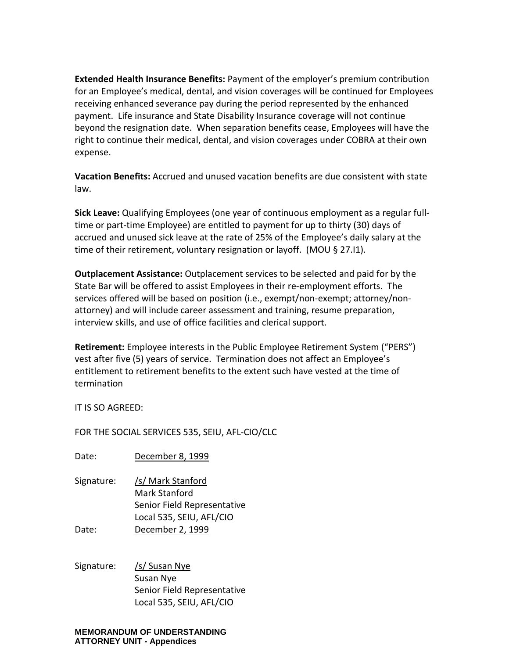**Extended Health Insurance Benefits:** Payment of the employer's premium contribution for an Employee's medical, dental, and vision coverages will be continued for Employees receiving enhanced severance pay during the period represented by the enhanced payment. Life insurance and State Disability Insurance coverage will not continue beyond the resignation date. When separation benefits cease, Employees will have the right to continue their medical, dental, and vision coverages under COBRA at their own expense.

**Vacation Benefits:** Accrued and unused vacation benefits are due consistent with state law.

**Sick Leave:** Qualifying Employees (one year of continuous employment as a regular fulltime or part-time Employee) are entitled to payment for up to thirty (30) days of accrued and unused sick leave at the rate of 25% of the Employee's daily salary at the time of their retirement, voluntary resignation or layoff. (MOU § 27.I1).

**Outplacement Assistance:** Outplacement services to be selected and paid for by the State Bar will be offered to assist Employees in their re-employment efforts. The services offered will be based on position (i.e., exempt/non-exempt; attorney/nonattorney) and will include career assessment and training, resume preparation, interview skills, and use of office facilities and clerical support.

**Retirement:** Employee interests in the Public Employee Retirement System ("PERS") vest after five (5) years of service. Termination does not affect an Employee's entitlement to retirement benefits to the extent such have vested at the time of termination

IT IS SO AGREED:

FOR THE SOCIAL SERVICES 535, SEIU, AFL-CIO/CLC

Date: December 8, 1999

- Signature: /s/ Mark Stanford Mark Stanford Senior Field Representative Local 535, SEIU, AFL/CIO Date: December 2, 1999
- Signature: /s/ Susan Nye Susan Nye Senior Field Representative Local 535, SEIU, AFL/CIO

#### **MEMORANDUM OF UNDERSTANDING ATTORNEY UNIT - Appendices**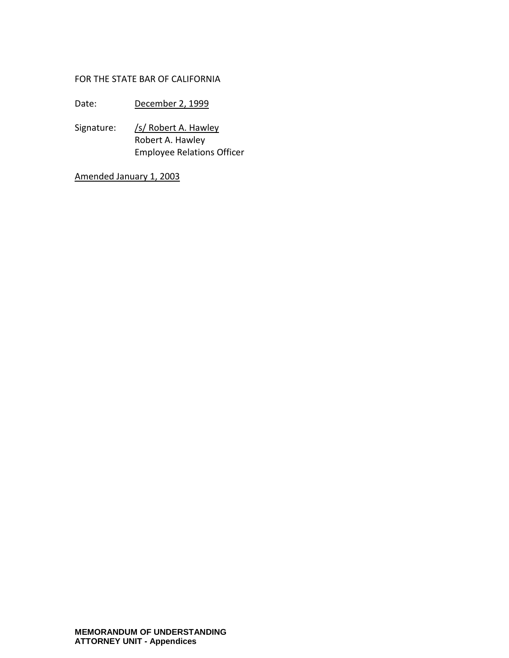#### FOR THE STATE BAR OF CALIFORNIA

Date: December 2, 1999

Signature: /s/ Robert A. Hawley Robert A. Hawley Employee Relations Officer

Amended January 1, 2003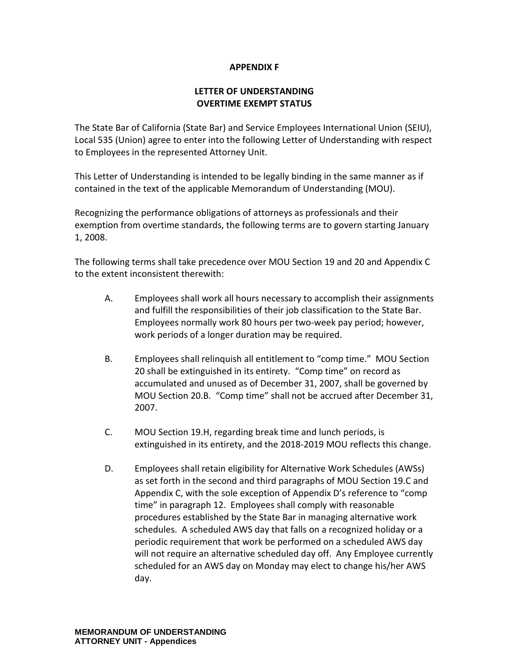#### **APPENDIX F**

#### **LETTER OF UNDERSTANDING OVERTIME EXEMPT STATUS**

The State Bar of California (State Bar) and Service Employees International Union (SEIU), Local 535 (Union) agree to enter into the following Letter of Understanding with respect to Employees in the represented Attorney Unit.

This Letter of Understanding is intended to be legally binding in the same manner as if contained in the text of the applicable Memorandum of Understanding (MOU).

Recognizing the performance obligations of attorneys as professionals and their exemption from overtime standards, the following terms are to govern starting January 1, 2008.

The following terms shall take precedence over MOU Section 19 and 20 and Appendix C to the extent inconsistent therewith:

- A. Employees shall work all hours necessary to accomplish their assignments and fulfill the responsibilities of their job classification to the State Bar. Employees normally work 80 hours per two-week pay period; however, work periods of a longer duration may be required.
- B. Employees shall relinquish all entitlement to "comp time." MOU Section 20 shall be extinguished in its entirety. "Comp time" on record as accumulated and unused as of December 31, 2007, shall be governed by MOU Section 20.B. "Comp time" shall not be accrued after December 31, 2007.
- C. MOU Section 19.H, regarding break time and lunch periods, is extinguished in its entirety, and the 2018-2019 MOU reflects this change.
- D. Employees shall retain eligibility for Alternative Work Schedules (AWSs) as set forth in the second and third paragraphs of MOU Section 19.C and Appendix C, with the sole exception of Appendix D's reference to "comp time" in paragraph 12. Employees shall comply with reasonable procedures established by the State Bar in managing alternative work schedules. A scheduled AWS day that falls on a recognized holiday or a periodic requirement that work be performed on a scheduled AWS day will not require an alternative scheduled day off. Any Employee currently scheduled for an AWS day on Monday may elect to change his/her AWS day.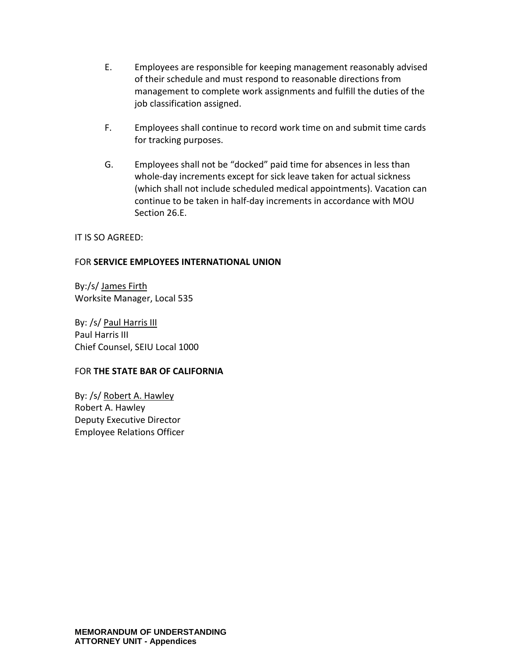- E. Employees are responsible for keeping management reasonably advised of their schedule and must respond to reasonable directions from management to complete work assignments and fulfill the duties of the job classification assigned.
- F. Employees shall continue to record work time on and submit time cards for tracking purposes.
- G. Employees shall not be "docked" paid time for absences in less than whole-day increments except for sick leave taken for actual sickness (which shall not include scheduled medical appointments). Vacation can continue to be taken in half-day increments in accordance with MOU Section 26.E.

#### IT IS SO AGREED:

#### FOR **SERVICE EMPLOYEES INTERNATIONAL UNION**

By:/s/ James Firth Worksite Manager, Local 535

By: /s/ Paul Harris III Paul Harris III Chief Counsel, SEIU Local 1000

#### FOR **THE STATE BAR OF CALIFORNIA**

By: /s/ Robert A. Hawley Robert A. Hawley Deputy Executive Director Employee Relations Officer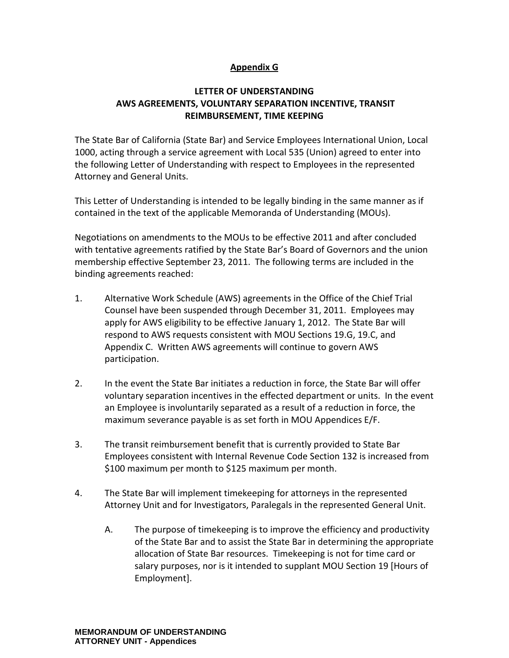#### **Appendix G**

### **LETTER OF UNDERSTANDING AWS AGREEMENTS, VOLUNTARY SEPARATION INCENTIVE, TRANSIT REIMBURSEMENT, TIME KEEPING**

The State Bar of California (State Bar) and Service Employees International Union, Local 1000, acting through a service agreement with Local 535 (Union) agreed to enter into the following Letter of Understanding with respect to Employees in the represented Attorney and General Units.

This Letter of Understanding is intended to be legally binding in the same manner as if contained in the text of the applicable Memoranda of Understanding (MOUs).

Negotiations on amendments to the MOUs to be effective 2011 and after concluded with tentative agreements ratified by the State Bar's Board of Governors and the union membership effective September 23, 2011. The following terms are included in the binding agreements reached:

- 1. Alternative Work Schedule (AWS) agreements in the Office of the Chief Trial Counsel have been suspended through December 31, 2011. Employees may apply for AWS eligibility to be effective January 1, 2012. The State Bar will respond to AWS requests consistent with MOU Sections 19.G, 19.C, and Appendix C. Written AWS agreements will continue to govern AWS participation.
- 2. In the event the State Bar initiates a reduction in force, the State Bar will offer voluntary separation incentives in the effected department or units. In the event an Employee is involuntarily separated as a result of a reduction in force, the maximum severance payable is as set forth in MOU Appendices E/F.
- 3. The transit reimbursement benefit that is currently provided to State Bar Employees consistent with Internal Revenue Code Section 132 is increased from \$100 maximum per month to \$125 maximum per month.
- 4. The State Bar will implement timekeeping for attorneys in the represented Attorney Unit and for Investigators, Paralegals in the represented General Unit.
	- A. The purpose of timekeeping is to improve the efficiency and productivity of the State Bar and to assist the State Bar in determining the appropriate allocation of State Bar resources. Timekeeping is not for time card or salary purposes, nor is it intended to supplant MOU Section 19 [Hours of Employment].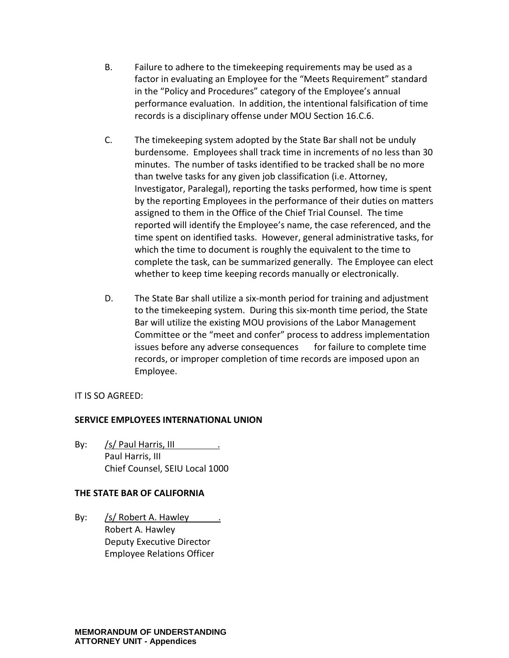- B. Failure to adhere to the timekeeping requirements may be used as a factor in evaluating an Employee for the "Meets Requirement" standard in the "Policy and Procedures" category of the Employee's annual performance evaluation. In addition, the intentional falsification of time records is a disciplinary offense under MOU Section 16.C.6.
- C. The timekeeping system adopted by the State Bar shall not be unduly burdensome. Employees shall track time in increments of no less than 30 minutes. The number of tasks identified to be tracked shall be no more than twelve tasks for any given job classification (i.e. Attorney, Investigator, Paralegal), reporting the tasks performed, how time is spent by the reporting Employees in the performance of their duties on matters assigned to them in the Office of the Chief Trial Counsel. The time reported will identify the Employee's name, the case referenced, and the time spent on identified tasks. However, general administrative tasks, for which the time to document is roughly the equivalent to the time to complete the task, can be summarized generally. The Employee can elect whether to keep time keeping records manually or electronically.
- D. The State Bar shall utilize a six-month period for training and adjustment to the timekeeping system. During this six-month time period, the State Bar will utilize the existing MOU provisions of the Labor Management Committee or the "meet and confer" process to address implementation issues before any adverse consequences for failure to complete time records, or improper completion of time records are imposed upon an Employee.

#### IT IS SO AGREED:

#### **SERVICE EMPLOYEES INTERNATIONAL UNION**

By: /s/ Paul Harris, III Paul Harris, III Chief Counsel, SEIU Local 1000

#### **THE STATE BAR OF CALIFORNIA**

By: /s/ Robert A. Hawley Robert A. Hawley Deputy Executive Director Employee Relations Officer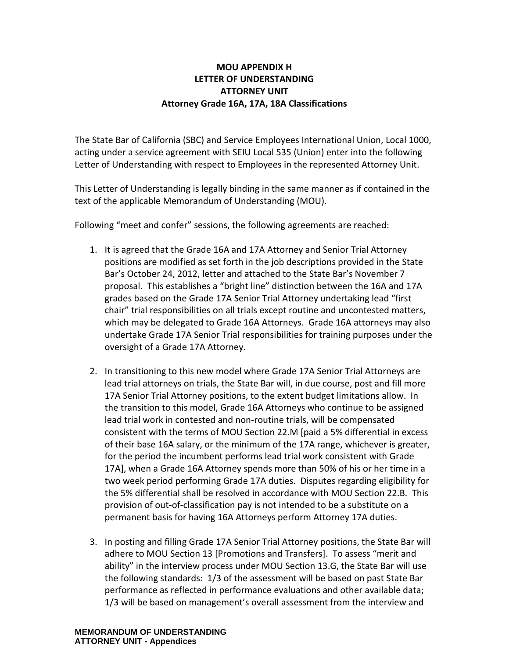#### **MOU APPENDIX H LETTER OF UNDERSTANDING ATTORNEY UNIT Attorney Grade 16A, 17A, 18A Classifications**

The State Bar of California (SBC) and Service Employees International Union, Local 1000, acting under a service agreement with SEIU Local 535 (Union) enter into the following Letter of Understanding with respect to Employees in the represented Attorney Unit.

This Letter of Understanding is legally binding in the same manner as if contained in the text of the applicable Memorandum of Understanding (MOU).

Following "meet and confer" sessions, the following agreements are reached:

- 1. It is agreed that the Grade 16A and 17A Attorney and Senior Trial Attorney positions are modified as set forth in the job descriptions provided in the State Bar's October 24, 2012, letter and attached to the State Bar's November 7 proposal. This establishes a "bright line" distinction between the 16A and 17A grades based on the Grade 17A Senior Trial Attorney undertaking lead "first chair" trial responsibilities on all trials except routine and uncontested matters, which may be delegated to Grade 16A Attorneys. Grade 16A attorneys may also undertake Grade 17A Senior Trial responsibilities for training purposes under the oversight of a Grade 17A Attorney.
- 2. In transitioning to this new model where Grade 17A Senior Trial Attorneys are lead trial attorneys on trials, the State Bar will, in due course, post and fill more 17A Senior Trial Attorney positions, to the extent budget limitations allow. In the transition to this model, Grade 16A Attorneys who continue to be assigned lead trial work in contested and non-routine trials, will be compensated consistent with the terms of MOU Section 22.M [paid a 5% differential in excess of their base 16A salary, or the minimum of the 17A range, whichever is greater, for the period the incumbent performs lead trial work consistent with Grade 17A], when a Grade 16A Attorney spends more than 50% of his or her time in a two week period performing Grade 17A duties. Disputes regarding eligibility for the 5% differential shall be resolved in accordance with MOU Section 22.B. This provision of out-of-classification pay is not intended to be a substitute on a permanent basis for having 16A Attorneys perform Attorney 17A duties.
- 3. In posting and filling Grade 17A Senior Trial Attorney positions, the State Bar will adhere to MOU Section 13 [Promotions and Transfers]. To assess "merit and ability" in the interview process under MOU Section 13.G, the State Bar will use the following standards: 1/3 of the assessment will be based on past State Bar performance as reflected in performance evaluations and other available data; 1/3 will be based on management's overall assessment from the interview and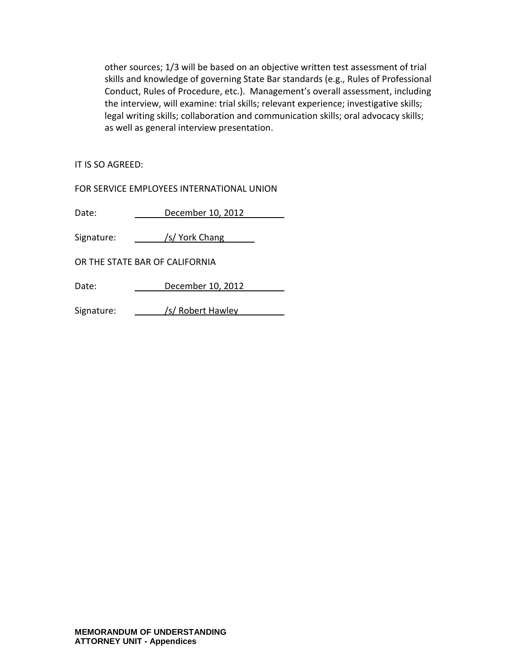other sources; 1/3 will be based on an objective written test assessment of trial skills and knowledge of governing State Bar standards (e.g., Rules of Professional Conduct, Rules of Procedure, etc.). Management's overall assessment, including the interview, will examine: trial skills; relevant experience; investigative skills; legal writing skills; collaboration and communication skills; oral advocacy skills; as well as general interview presentation.

IT IS SO AGREED:

FOR SERVICE EMPLOYEES INTERNATIONAL UNION

Date: December 10, 2012

Signature: /s/ York Chang

OR THE STATE BAR OF CALIFORNIA

Date: December 10, 2012

Signature: /s/ Robert Hawley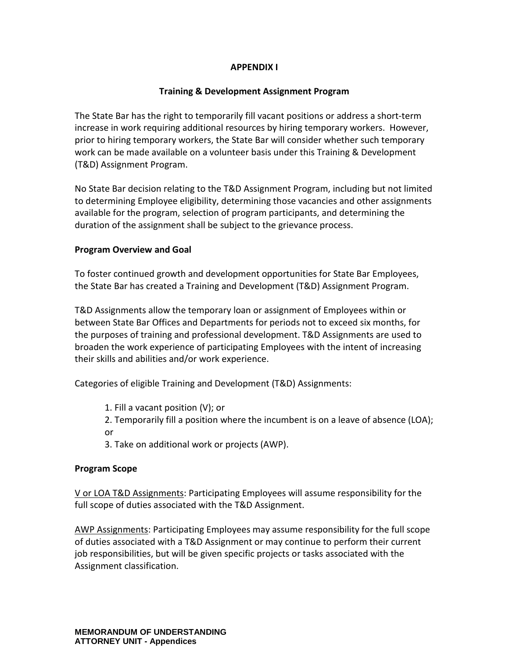## **APPENDIX I**

# **Training & Development Assignment Program**

The State Bar has the right to temporarily fill vacant positions or address a short-term increase in work requiring additional resources by hiring temporary workers. However, prior to hiring temporary workers, the State Bar will consider whether such temporary work can be made available on a volunteer basis under this Training & Development (T&D) Assignment Program.

No State Bar decision relating to the T&D Assignment Program, including but not limited to determining Employee eligibility, determining those vacancies and other assignments available for the program, selection of program participants, and determining the duration of the assignment shall be subject to the grievance process.

## **Program Overview and Goal**

To foster continued growth and development opportunities for State Bar Employees, the State Bar has created a Training and Development (T&D) Assignment Program.

T&D Assignments allow the temporary loan or assignment of Employees within or between State Bar Offices and Departments for periods not to exceed six months, for the purposes of training and professional development. T&D Assignments are used to broaden the work experience of participating Employees with the intent of increasing their skills and abilities and/or work experience.

Categories of eligible Training and Development (T&D) Assignments:

- 1. Fill a vacant position (V); or
- 2. Temporarily fill a position where the incumbent is on a leave of absence (LOA); or
- 3. Take on additional work or projects (AWP).

# **Program Scope**

V or LOA T&D Assignments: Participating Employees will assume responsibility for the full scope of duties associated with the T&D Assignment.

AWP Assignments: Participating Employees may assume responsibility for the full scope of duties associated with a T&D Assignment or may continue to perform their current job responsibilities, but will be given specific projects or tasks associated with the Assignment classification.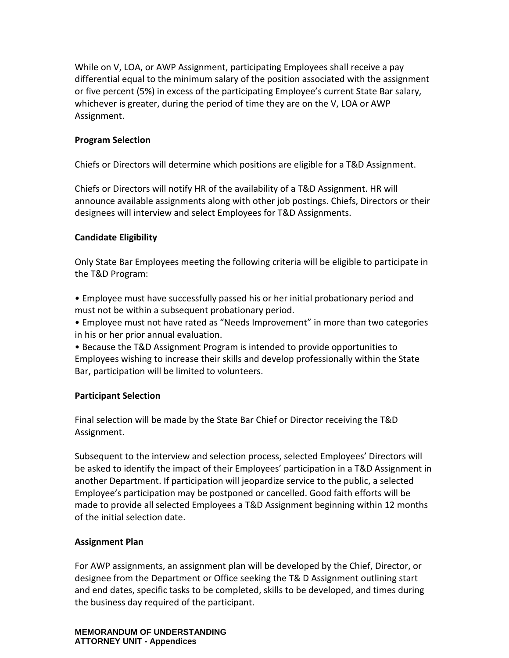While on V, LOA, or AWP Assignment, participating Employees shall receive a pay differential equal to the minimum salary of the position associated with the assignment or five percent (5%) in excess of the participating Employee's current State Bar salary, whichever is greater, during the period of time they are on the V, LOA or AWP Assignment.

#### **Program Selection**

Chiefs or Directors will determine which positions are eligible for a T&D Assignment.

Chiefs or Directors will notify HR of the availability of a T&D Assignment. HR will announce available assignments along with other job postings. Chiefs, Directors or their designees will interview and select Employees for T&D Assignments.

#### **Candidate Eligibility**

Only State Bar Employees meeting the following criteria will be eligible to participate in the T&D Program:

- Employee must have successfully passed his or her initial probationary period and must not be within a subsequent probationary period.
- Employee must not have rated as "Needs Improvement" in more than two categories in his or her prior annual evaluation.

• Because the T&D Assignment Program is intended to provide opportunities to Employees wishing to increase their skills and develop professionally within the State Bar, participation will be limited to volunteers.

#### **Participant Selection**

Final selection will be made by the State Bar Chief or Director receiving the T&D Assignment.

Subsequent to the interview and selection process, selected Employees' Directors will be asked to identify the impact of their Employees' participation in a T&D Assignment in another Department. If participation will jeopardize service to the public, a selected Employee's participation may be postponed or cancelled. Good faith efforts will be made to provide all selected Employees a T&D Assignment beginning within 12 months of the initial selection date.

### **Assignment Plan**

For AWP assignments, an assignment plan will be developed by the Chief, Director, or designee from the Department or Office seeking the T& D Assignment outlining start and end dates, specific tasks to be completed, skills to be developed, and times during the business day required of the participant.